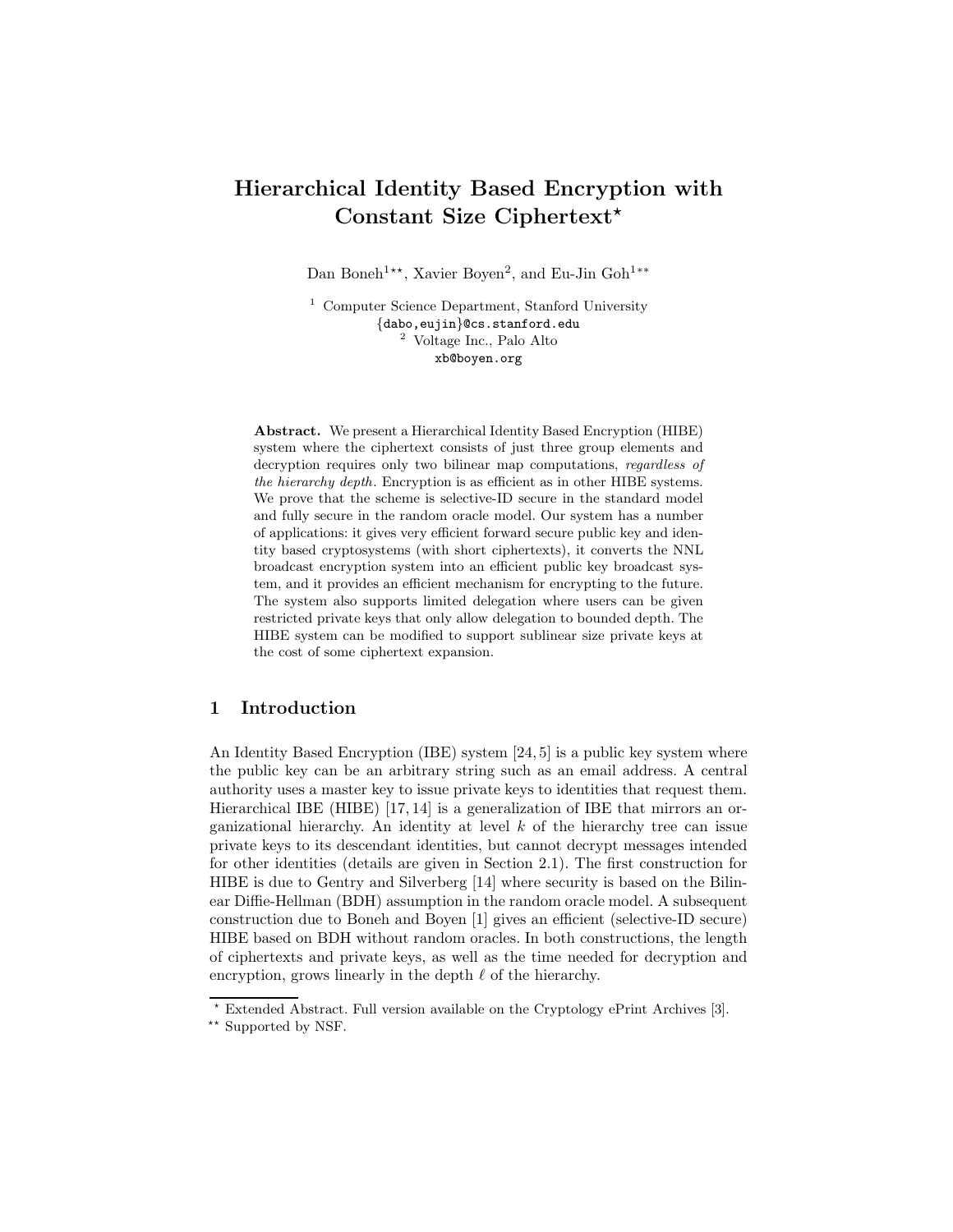# Hierarchical Identity Based Encryption with Constant Size Ciphertext<sup>\*</sup>

Dan Boneh<sup>1\*\*</sup>, Xavier Boyen<sup>2</sup>, and Eu-Jin Goh<sup>1\*\*</sup>

<sup>1</sup> Computer Science Department, Stanford University {dabo,eujin}@cs.stanford.edu <sup>2</sup> Voltage Inc., Palo Alto xb@boyen.org

Abstract. We present a Hierarchical Identity Based Encryption (HIBE) system where the ciphertext consists of just three group elements and decryption requires only two bilinear map computations, regardless of the hierarchy depth. Encryption is as efficient as in other HIBE systems. We prove that the scheme is selective-ID secure in the standard model and fully secure in the random oracle model. Our system has a number of applications: it gives very efficient forward secure public key and identity based cryptosystems (with short ciphertexts), it converts the NNL broadcast encryption system into an efficient public key broadcast system, and it provides an efficient mechanism for encrypting to the future. The system also supports limited delegation where users can be given restricted private keys that only allow delegation to bounded depth. The HIBE system can be modified to support sublinear size private keys at the cost of some ciphertext expansion.

# 1 Introduction

An Identity Based Encryption (IBE) system [24, 5] is a public key system where the public key can be an arbitrary string such as an email address. A central authority uses a master key to issue private keys to identities that request them. Hierarchical IBE (HIBE) [17, 14] is a generalization of IBE that mirrors an organizational hierarchy. An identity at level  $k$  of the hierarchy tree can issue private keys to its descendant identities, but cannot decrypt messages intended for other identities (details are given in Section 2.1). The first construction for HIBE is due to Gentry and Silverberg [14] where security is based on the Bilinear Diffie-Hellman (BDH) assumption in the random oracle model. A subsequent construction due to Boneh and Boyen [1] gives an efficient (selective-ID secure) HIBE based on BDH without random oracles. In both constructions, the length of ciphertexts and private keys, as well as the time needed for decryption and encryption, grows linearly in the depth  $\ell$  of the hierarchy.

<sup>?</sup> Extended Abstract. Full version available on the Cryptology ePrint Archives [3]. \*\* Supported by NSF.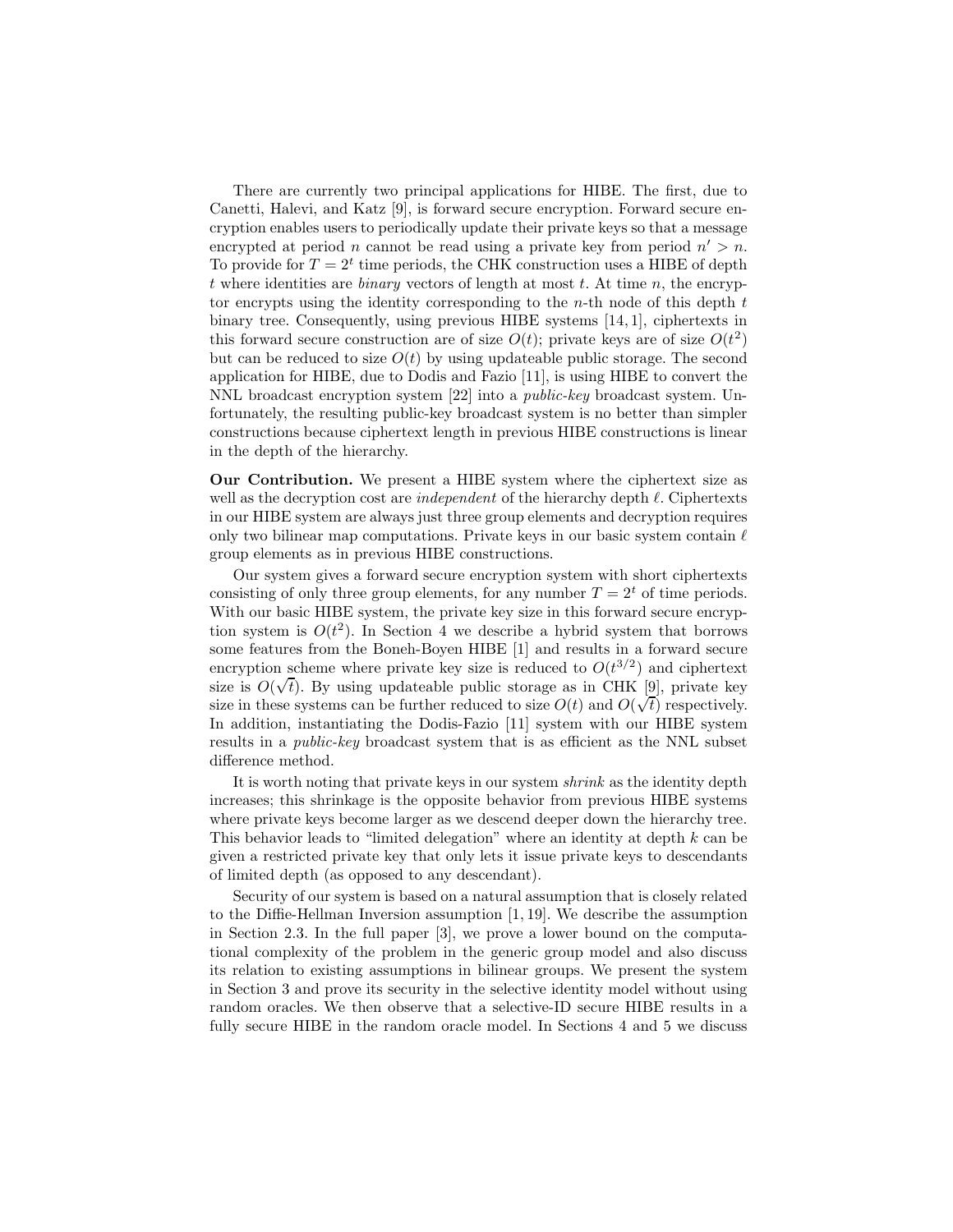There are currently two principal applications for HIBE. The first, due to Canetti, Halevi, and Katz [9], is forward secure encryption. Forward secure encryption enables users to periodically update their private keys so that a message encrypted at period *n* cannot be read using a private key from period  $n' > n$ . To provide for  $T = 2^t$  time periods, the CHK construction uses a HIBE of depth t where identities are *binary* vectors of length at most t. At time n, the encryptor encrypts using the identity corresponding to the  $n$ -th node of this depth  $t$ binary tree. Consequently, using previous HIBE systems [14, 1], ciphertexts in this forward secure construction are of size  $O(t)$ ; private keys are of size  $O(t^2)$ but can be reduced to size  $O(t)$  by using updateable public storage. The second application for HIBE, due to Dodis and Fazio [11], is using HIBE to convert the NNL broadcast encryption system [22] into a public-key broadcast system. Unfortunately, the resulting public-key broadcast system is no better than simpler constructions because ciphertext length in previous HIBE constructions is linear in the depth of the hierarchy.

Our Contribution. We present a HIBE system where the ciphertext size as well as the decryption cost are *independent* of the hierarchy depth  $\ell$ . Ciphertexts in our HIBE system are always just three group elements and decryption requires only two bilinear map computations. Private keys in our basic system contain  $\ell$ group elements as in previous HIBE constructions.

Our system gives a forward secure encryption system with short ciphertexts consisting of only three group elements, for any number  $T = 2<sup>t</sup>$  of time periods. With our basic HIBE system, the private key size in this forward secure encryption system is  $O(t^2)$ . In Section 4 we describe a hybrid system that borrows some features from the Boneh-Boyen HIBE [1] and results in a forward secure encryption scheme where private key size is reduced to  $O(t^{3/2})$  and ciphertext size is  $O(\sqrt{t})$ . By using updateable public storage as in CHK [9], private key size in these systems can be further reduced to size  $O(t)$  and  $O(\sqrt{t})$  respectively. In addition, instantiating the Dodis-Fazio [11] system with our HIBE system results in a public-key broadcast system that is as efficient as the NNL subset difference method.

It is worth noting that private keys in our system shrink as the identity depth increases; this shrinkage is the opposite behavior from previous HIBE systems where private keys become larger as we descend deeper down the hierarchy tree. This behavior leads to "limited delegation" where an identity at depth  $k$  can be given a restricted private key that only lets it issue private keys to descendants of limited depth (as opposed to any descendant).

Security of our system is based on a natural assumption that is closely related to the Diffie-Hellman Inversion assumption [1, 19]. We describe the assumption in Section 2.3. In the full paper [3], we prove a lower bound on the computational complexity of the problem in the generic group model and also discuss its relation to existing assumptions in bilinear groups. We present the system in Section 3 and prove its security in the selective identity model without using random oracles. We then observe that a selective-ID secure HIBE results in a fully secure HIBE in the random oracle model. In Sections 4 and 5 we discuss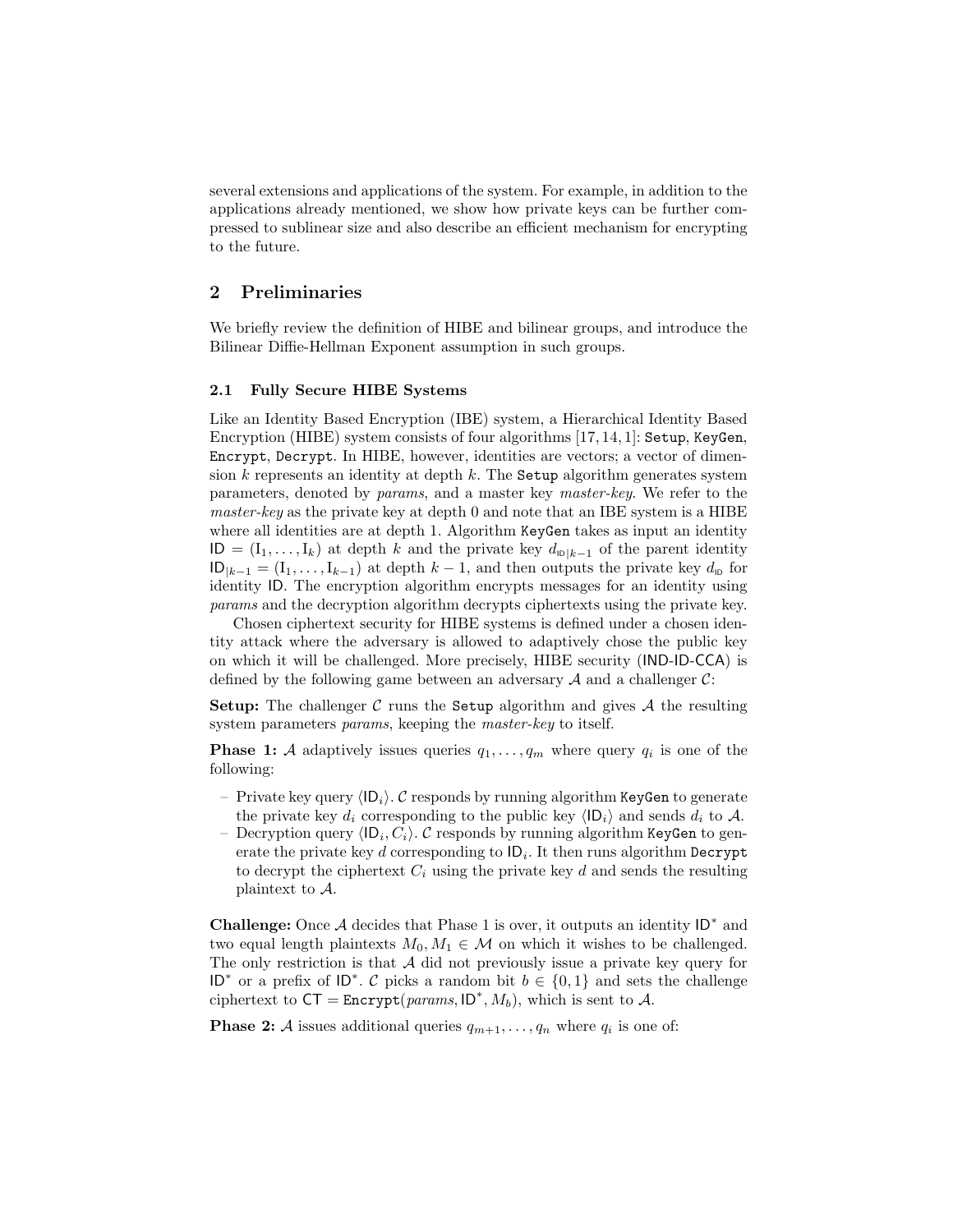several extensions and applications of the system. For example, in addition to the applications already mentioned, we show how private keys can be further compressed to sublinear size and also describe an efficient mechanism for encrypting to the future.

# 2 Preliminaries

We briefly review the definition of HIBE and bilinear groups, and introduce the Bilinear Diffie-Hellman Exponent assumption in such groups.

### 2.1 Fully Secure HIBE Systems

Like an Identity Based Encryption (IBE) system, a Hierarchical Identity Based Encryption (HIBE) system consists of four algorithms [17, 14, 1]: Setup, KeyGen, Encrypt, Decrypt. In HIBE, however, identities are vectors; a vector of dimension k represents an identity at depth  $k$ . The Setup algorithm generates system parameters, denoted by params, and a master key master-key. We refer to the master-key as the private key at depth 0 and note that an IBE system is a HIBE where all identities are at depth 1. Algorithm KeyGen takes as input an identity ID =  $(I_1, \ldots, I_k)$  at depth k and the private key  $d_{\mathsf{ID}|k-1}$  of the parent identity  $ID_{k-1} = (I_1, \ldots, I_{k-1})$  at depth  $k-1$ , and then outputs the private key  $d_{\text{ID}}$  for identity ID. The encryption algorithm encrypts messages for an identity using params and the decryption algorithm decrypts ciphertexts using the private key.

Chosen ciphertext security for HIBE systems is defined under a chosen identity attack where the adversary is allowed to adaptively chose the public key on which it will be challenged. More precisely, HIBE security (IND-ID-CCA) is defined by the following game between an adversary  $A$  and a challenger  $C$ :

**Setup:** The challenger C runs the Setup algorithm and gives  $\mathcal A$  the resulting system parameters params, keeping the master-key to itself.

**Phase 1:** A adaptively issues queries  $q_1, \ldots, q_m$  where query  $q_i$  is one of the following:

- Private key query  $\langle \mathsf{ID}_i \rangle$ . C responds by running algorithm KeyGen to generate the private key  $d_i$  corresponding to the public key  $\langle \mathsf{ID}_i \rangle$  and sends  $d_i$  to A.
- Decryption query  $\langle \mathsf{ID}_i, C_i \rangle$ . C responds by running algorithm KeyGen to generate the private key  $d$  corresponding to  $\mathsf{ID}_i$ . It then runs algorithm Decrypt to decrypt the ciphertext  $C_i$  using the private key d and sends the resulting plaintext to A.

Challenge: Once  $\mathcal A$  decides that Phase 1 is over, it outputs an identity  $\mathsf{ID}^*$  and two equal length plaintexts  $M_0, M_1 \in \mathcal{M}$  on which it wishes to be challenged. The only restriction is that  $A$  did not previously issue a private key query for ID<sup>\*</sup> or a prefix of ID<sup>\*</sup>. C picks a random bit  $b \in \{0,1\}$  and sets the challenge ciphertext to  $CT = \text{Encrypt}(params, ID^*, M_b)$ , which is sent to A.

**Phase 2:** A issues additional queries  $q_{m+1}, \ldots, q_n$  where  $q_i$  is one of: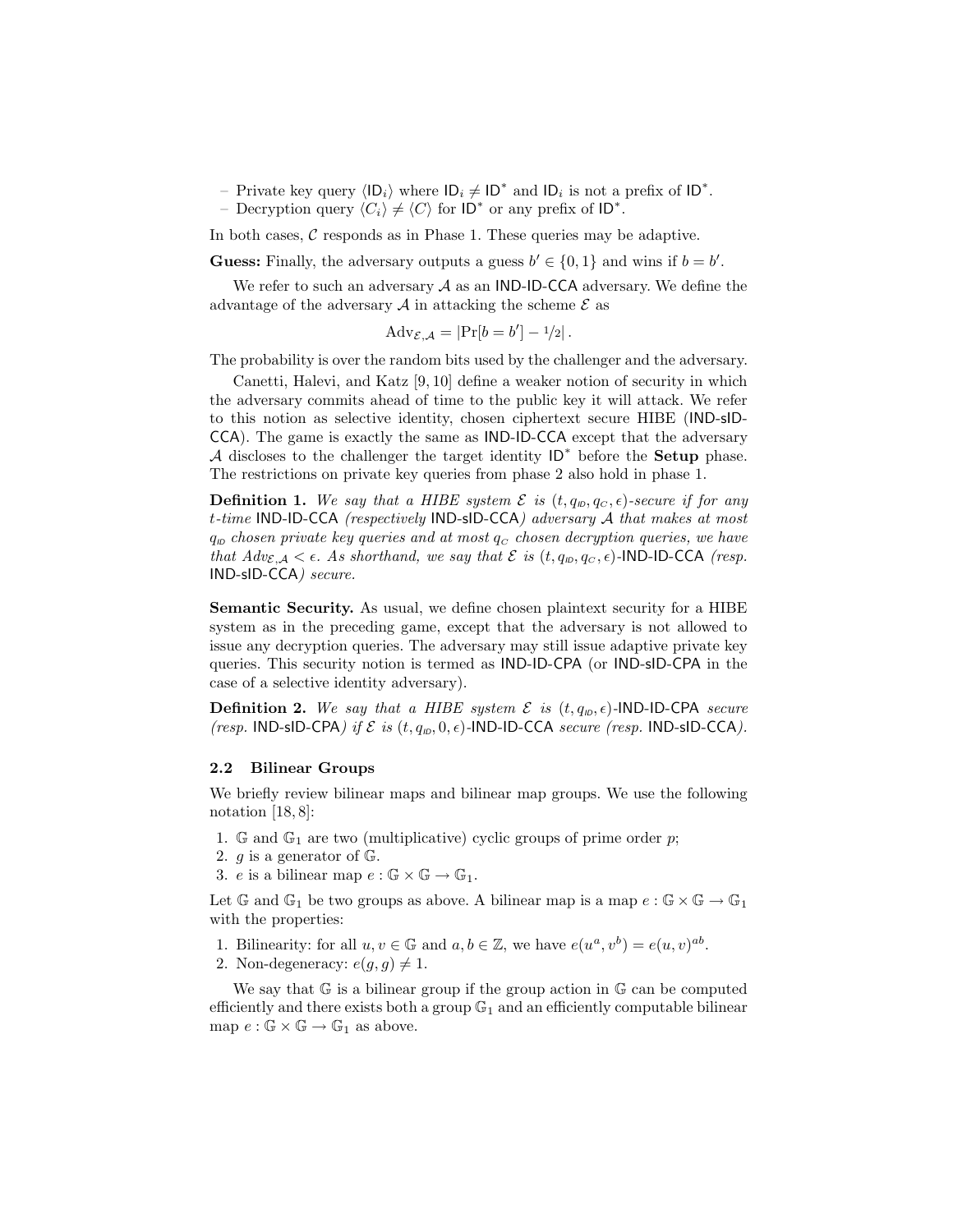- Private key query  $\langle \mathsf{ID}_i \rangle$  where  $\mathsf{ID}_i \neq \mathsf{ID}^*$  and  $\mathsf{ID}_i$  is not a prefix of  $\mathsf{ID}^*$ .
- Decryption query  $\langle C_i \rangle \neq \langle C \rangle$  for ID<sup>∗</sup> or any prefix of ID<sup>∗</sup>.

In both cases,  $\mathcal C$  responds as in Phase 1. These queries may be adaptive.

**Guess:** Finally, the adversary outputs a guess  $b' \in \{0, 1\}$  and wins if  $b = b'$ .

We refer to such an adversary  $A$  as an IND-ID-CCA adversary. We define the advantage of the adversary  $A$  in attacking the scheme  $\mathcal E$  as

$$
Adv_{\mathcal{E},\mathcal{A}} = |Pr[b = b'] - 1/2|.
$$

The probability is over the random bits used by the challenger and the adversary.

Canetti, Halevi, and Katz [9, 10] define a weaker notion of security in which the adversary commits ahead of time to the public key it will attack. We refer to this notion as selective identity, chosen ciphertext secure HIBE (IND-sID-CCA). The game is exactly the same as IND-ID-CCA except that the adversary  $\mathcal A$  discloses to the challenger the target identity  $\mathsf{ID}^*$  before the **Setup** phase. The restrictions on private key queries from phase 2 also hold in phase 1.

**Definition 1.** We say that a HIBE system  $\mathcal{E}$  is  $(t, q_D, q_C, \epsilon)$ -secure if for any t-time IND-ID-CCA (respectively IND-sID-CCA) adversary  $A$  that makes at most  $q_{\scriptscriptstyle D}$  chosen private key queries and at most  $q_{\scriptscriptstyle C}$  chosen decryption queries, we have that  $Adv_{\mathcal{E},\mathcal{A}} < \epsilon$ . As shorthand, we say that  $\mathcal{E}$  is  $(t, q_{\text{ID}}, q_{\text{C}}, \epsilon)$ -IND-ID-CCA (resp. IND-sID-CCA) secure.

Semantic Security. As usual, we define chosen plaintext security for a HIBE system as in the preceding game, except that the adversary is not allowed to issue any decryption queries. The adversary may still issue adaptive private key queries. This security notion is termed as IND-ID-CPA (or IND-sID-CPA in the case of a selective identity adversary).

**Definition 2.** We say that a HIBE system  $\mathcal{E}$  is  $(t, q_{D}, \epsilon)$ -IND-ID-CPA secure (resp. IND-sID-CPA) if  $\mathcal E$  is  $(t, q_D, 0, \epsilon)$ -IND-ID-CCA secure (resp. IND-sID-CCA).

### 2.2 Bilinear Groups

We briefly review bilinear maps and bilinear map groups. We use the following notation [18, 8]:

- 1. G and  $\mathbb{G}_1$  are two (multiplicative) cyclic groups of prime order p;
- 2.  $q$  is a generator of  $\mathbb{G}$ .
- 3. e is a bilinear map  $e : \mathbb{G} \times \mathbb{G} \to \mathbb{G}_1$ .

Let  $\mathbb{G}$  and  $\mathbb{G}_1$  be two groups as above. A bilinear map is a map  $e : \mathbb{G} \times \mathbb{G} \to \mathbb{G}_1$ with the properties:

- 1. Bilinearity: for all  $u, v \in \mathbb{G}$  and  $a, b \in \mathbb{Z}$ , we have  $e(u^a, v^b) = e(u, v)^{ab}$ .
- 2. Non-degeneracy:  $e(g, g) \neq 1$ .

We say that  $\mathbb{G}$  is a bilinear group if the group action in  $\mathbb{G}$  can be computed efficiently and there exists both a group  $\mathbb{G}_1$  and an efficiently computable bilinear map  $e:\mathbb{G}\times\mathbb{G}\rightarrow\mathbb{G}_1$  as above.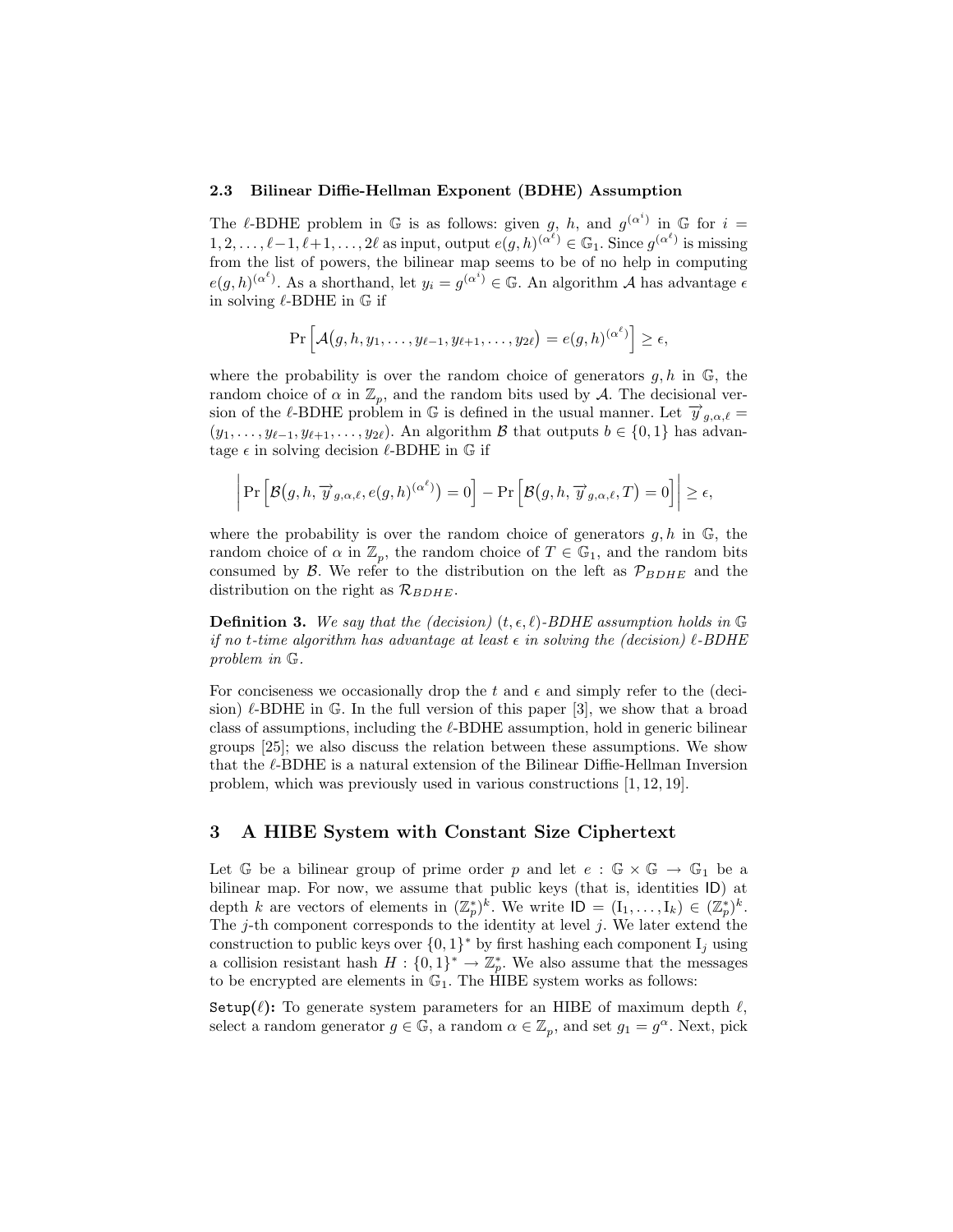#### 2.3 Bilinear Diffie-Hellman Exponent (BDHE) Assumption

The  $\ell$ -BDHE problem in G is as follows: given g, h, and  $g^{(\alpha^i)}$  in G for  $i =$  $1, 2, \ldots, \ell-1, \ell+1, \ldots, 2\ell$  as input, output  $e(g, h)^{(\alpha^{\ell})} \in \mathbb{G}_1$ . Since  $g^{(\alpha^{\ell})}$  is missing from the list of powers, the bilinear map seems to be of no help in computing  $e(g, h)^{(\alpha^{\ell})}$ . As a shorthand, let  $y_i = g^{(\alpha^i)} \in \mathbb{G}$ . An algorithm A has advantage  $\epsilon$ in solving  $\ell$ -BDHE in  $\mathbb G$  if

$$
\Pr\left[\mathcal{A}(g,h,y_1,\ldots,y_{\ell-1},y_{\ell+1},\ldots,y_{2\ell})=e(g,h)^{(\alpha^{\ell})}\right]\geq\epsilon,
$$

where the probability is over the random choice of generators  $g, h$  in  $\mathbb{G}$ , the random choice of  $\alpha$  in  $\mathbb{Z}_p$ , and the random bits used by A. The decisional version of the l-BDHE problem in G is defined in the usual manner. Let  $\overrightarrow{y}_{a,\alpha,\ell} =$  $(y_1, \ldots, y_{\ell-1}, y_{\ell+1}, \ldots, y_{2\ell})$ . An algorithm B that outputs  $b \in \{0, 1\}$  has advantage  $\epsilon$  in solving decision  $\ell$ -BDHE in G if

$$
\left| \Pr \left[ \mathcal{B}\big(g,h,\overrightarrow{y}_{g,\alpha,\ell},e(g,h)^{(\alpha^{\ell})}\big) = 0 \right] - \Pr \left[ \mathcal{B}\big(g,h,\overrightarrow{y}_{g,\alpha,\ell},T\big) = 0 \right] \right| \ge \epsilon,
$$

where the probability is over the random choice of generators  $q, h$  in  $\mathbb{G}$ , the random choice of  $\alpha$  in  $\mathbb{Z}_p$ , the random choice of  $T \in \mathbb{G}_1$ , and the random bits consumed by  $\beta$ . We refer to the distribution on the left as  $\mathcal{P}_{BDHE}$  and the distribution on the right as  $\mathcal{R}_{BDHE}$ .

**Definition 3.** We say that the (decision)  $(t, \epsilon, \ell)$ -BDHE assumption holds in G if no t-time algorithm has advantage at least  $\epsilon$  in solving the (decision)  $\ell$ -BDHE problem in G.

For conciseness we occasionally drop the t and  $\epsilon$  and simply refer to the (decision)  $\ell$ -BDHE in G. In the full version of this paper [3], we show that a broad class of assumptions, including the  $\ell$ -BDHE assumption, hold in generic bilinear groups [25]; we also discuss the relation between these assumptions. We show that the  $\ell$ -BDHE is a natural extension of the Bilinear Diffie-Hellman Inversion problem, which was previously used in various constructions [1, 12, 19].

## 3 A HIBE System with Constant Size Ciphertext

Let G be a bilinear group of prime order p and let  $e : \mathbb{G} \times \mathbb{G} \to \mathbb{G}_1$  be a bilinear map. For now, we assume that public keys (that is, identities ID) at depth k are vectors of elements in  $(\mathbb{Z}_p^*)^k$ . We write  $\mathsf{ID} = (\mathbf{I}_1, \dots, \mathbf{I}_k) \in (\mathbb{Z}_p^*)^k$ . The  $j$ -th component corresponds to the identity at level  $j$ . We later extend the construction to public keys over  $\{0,1\}^*$  by first hashing each component  $\mathrm{I}_j$  using a collision resistant hash  $H: \{0,1\}^* \to \mathbb{Z}_p^*$ . We also assume that the messages to be encrypted are elements in  $\mathbb{G}_1$ . The HIBE system works as follows:

Setup( $\ell$ ): To generate system parameters for an HIBE of maximum depth  $\ell$ , select a random generator  $g \in \mathbb{G}$ , a random  $\alpha \in \mathbb{Z}_p$ , and set  $g_1 = g^{\alpha}$ . Next, pick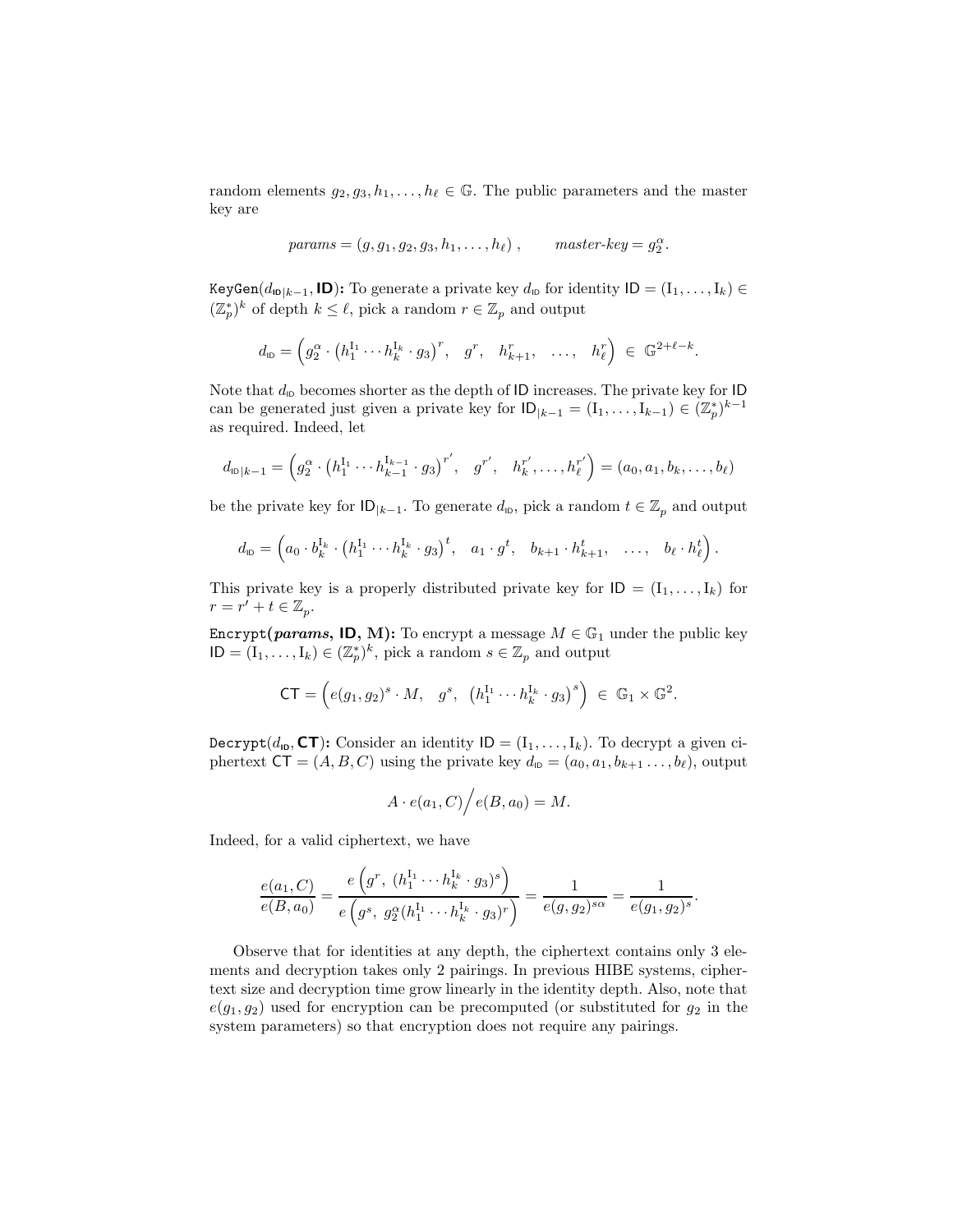random elements  $g_2, g_3, h_1, \ldots, h_\ell \in \mathbb{G}$ . The public parameters and the master key are

$$
params = (g, g1, g2, g3, h1,..., hℓ),
$$
 *master-key = g<sub>2</sub><sup>α</sup>.*

KeyGen $(d_{\text{ID}|k-1}, \text{ID})$ : To generate a private key  $d_{\text{ID}}$  for identity  $\text{ID} = (I_1, \ldots, I_k)$  $(\mathbb{Z}_p^*)^k$  of depth  $k \leq \ell,$  pick a random  $r \in \mathbb{Z}_p$  and output

$$
d_{\text{ID}} = \left(g_2^{\alpha} \cdot \left(h_1^{I_1} \cdots h_k^{I_k} \cdot g_3\right)^r, \quad g^r, \quad h_{k+1}^r, \quad \ldots, \quad h_{\ell}^r\right) \in \mathbb{G}^{2+\ell-k}.
$$

Note that  $d_{\text{ID}}$  becomes shorter as the depth of ID increases. The private key for ID can be generated just given a private key for  $\mathsf{ID}_{|k-1} = (\mathsf{I}_1, \ldots, \mathsf{I}_{k-1}) \in (\mathbb{Z}_p^*)^{k-1}$ as required. Indeed, let

$$
d_{\text{ID}|k-1} = \left(g_2^{\alpha} \cdot \left(h_1^{I_1} \cdots h_{k-1}^{I_{k-1}} \cdot g_3\right)^{r'}, \quad g^{r'}, \quad h_k^{r'}, \ldots, h_{\ell}^{r'}\right) = (a_0, a_1, b_k, \ldots, b_{\ell})
$$

be the private key for  $\mathsf{ID}_{|k-1}$ . To generate  $d_{\mathsf{ID}}$ , pick a random  $t \in \mathbb{Z}_p$  and output

$$
d_{\mathsf{ID}} = \left( a_0 \cdot b_k^{\mathrm{I}_k} \cdot \left( h_1^{\mathrm{I}_1} \cdots h_k^{\mathrm{I}_k} \cdot g_3 \right)^t, \quad a_1 \cdot g^t, \quad b_{k+1} \cdot h_{k+1}^t, \quad \ldots, \quad b_\ell \cdot h_\ell^t \right).
$$

This private key is a properly distributed private key for  $ID = (I_1, \ldots, I_k)$  for  $r = r' + t \in \mathbb{Z}_p.$ 

Encrypt(params, ID, M): To encrypt a message  $M \in \mathbb{G}_1$  under the public key  $ID = (I_1, \ldots, I_k) \in (\mathbb{Z}_p^*)^k$ , pick a random  $s \in \mathbb{Z}_p$  and output

$$
\mathsf{CT} = \left( e(g_1, g_2)^s \cdot M, \quad g^s, \left( h_1^{I_1} \cdots h_k^{I_k} \cdot g_3 \right)^s \right) \in \mathbb{G}_1 \times \mathbb{G}^2.
$$

Decrypt( $d_{\text{ID}}$ , CT): Consider an identity ID =  $(1_1, \ldots, 1_k)$ . To decrypt a given ciphertext  $CT = (A, B, C)$  using the private key  $d_{\text{ID}} = (a_0, a_1, b_{k+1}, \ldots, b_\ell)$ , output

$$
A \cdot e(a_1, C) / e(B, a_0) = M.
$$

Indeed, for a valid ciphertext, we have

$$
\frac{e(a_1, C)}{e(B, a_0)} = \frac{e\left(g^r, (h_1^{I_1} \cdots h_k^{I_k} \cdot g_3)^s\right)}{e\left(g^s, g_2^{\alpha}(h_1^{I_1} \cdots h_k^{I_k} \cdot g_3)^r\right)} = \frac{1}{e(g, g_2)^{s\alpha}} = \frac{1}{e(g_1, g_2)^s}.
$$

Observe that for identities at any depth, the ciphertext contains only 3 elements and decryption takes only 2 pairings. In previous HIBE systems, ciphertext size and decryption time grow linearly in the identity depth. Also, note that  $e(g_1, g_2)$  used for encryption can be precomputed (or substituted for  $g_2$  in the system parameters) so that encryption does not require any pairings.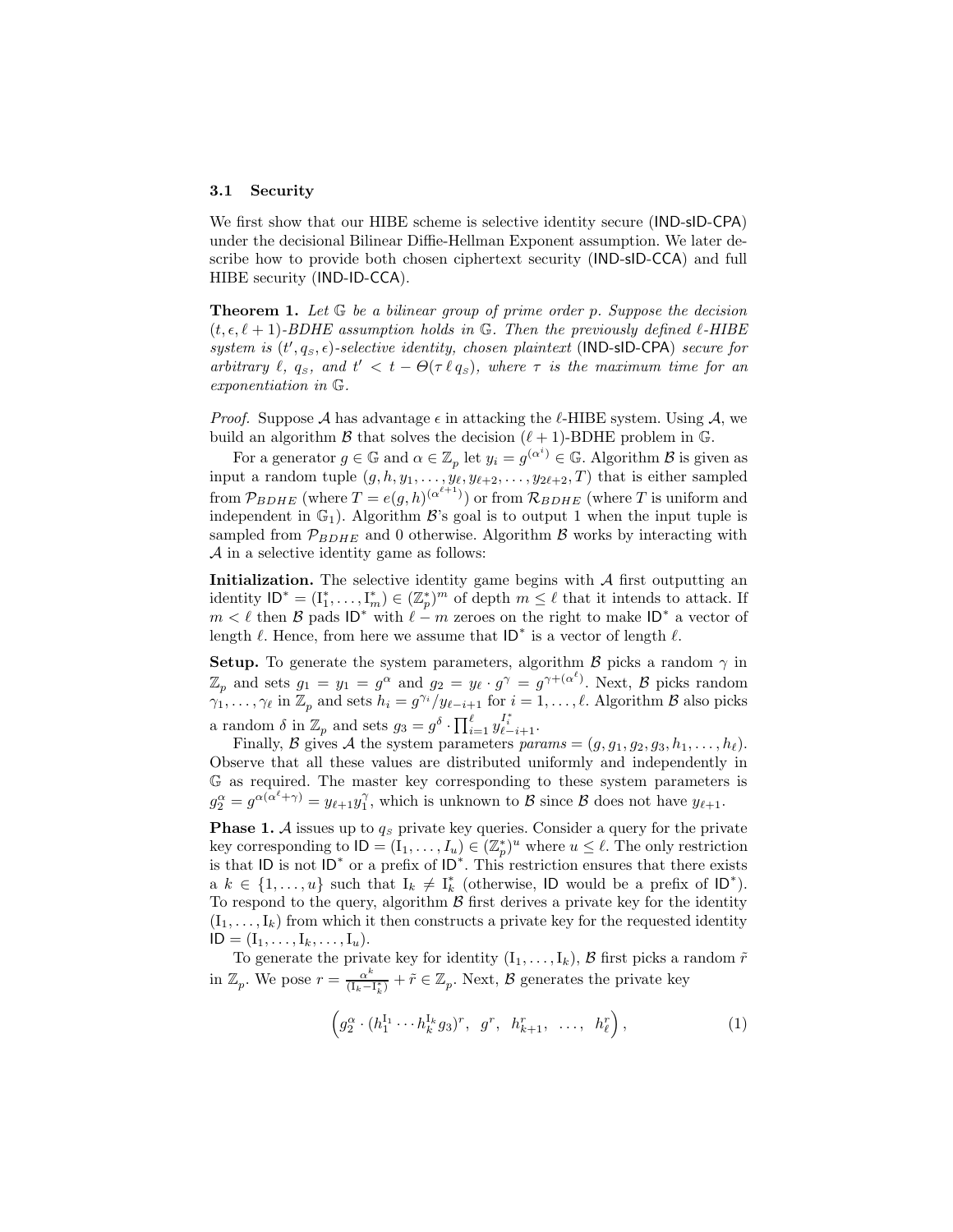#### 3.1 Security

We first show that our HIBE scheme is selective identity secure (IND-sID-CPA) under the decisional Bilinear Diffie-Hellman Exponent assumption. We later describe how to provide both chosen ciphertext security (IND-sID-CCA) and full HIBE security (IND-ID-CCA).

**Theorem 1.** Let  $\mathbb{G}$  be a bilinear group of prime order p. Suppose the decision  $(t, \epsilon, \ell + 1)$ -BDHE assumption holds in G. Then the previously defined  $\ell$ -HIBE system is  $(t', q_s, \epsilon)$ -selective identity, chosen plaintext (IND-sID-CPA) secure for arbitrary  $\ell, q_s$ , and  $t' < t - \Theta(\tau \ell q_s)$ , where  $\tau$  is the maximum time for an exponentiation in G.

*Proof.* Suppose A has advantage  $\epsilon$  in attacking the  $\ell$ -HIBE system. Using A, we build an algorithm  $\beta$  that solves the decision  $(\ell + 1)$ -BDHE problem in G.

For a generator  $g \in \mathbb{G}$  and  $\alpha \in \mathbb{Z}_p$  let  $y_i = g^{(\alpha^i)} \in \mathbb{G}$ . Algorithm  $\beta$  is given as input a random tuple  $(g, h, y_1, \ldots, y_\ell, y_{\ell+2}, \ldots, y_{2\ell+2}, T)$  that is either sampled from  $\mathcal{P}_{BDHE}$  (where  $T = e(g, h)$ <sup>( $\alpha^{\ell+1}$ )</sup>) or from  $\mathcal{R}_{BDHE}$  (where T is uniform and independent in  $\mathbb{G}_1$ ). Algorithm  $\mathcal{B}$ 's goal is to output 1 when the input tuple is sampled from  $\mathcal{P}_{BDHE}$  and 0 otherwise. Algorithm  $\beta$  works by interacting with A in a selective identity game as follows:

Initialization. The selective identity game begins with  $A$  first outputting an identity  $\mathsf{ID}^* = (\mathbf{I}_1^*, \ldots, \mathbf{I}_m^*) \in (\mathbb{Z}_p^*)^m$  of depth  $m \leq \ell$  that it intends to attack. If  $m < \ell$  then B pads ID<sup>\*</sup> with  $\ell - m$  zeroes on the right to make ID<sup>\*</sup> a vector of length  $\ell$ . Hence, from here we assume that  $ID^*$  is a vector of length  $\ell$ .

**Setup.** To generate the system parameters, algorithm  $\beta$  picks a random  $\gamma$  in  $\mathbb{Z}_p$  and sets  $g_1 = y_1 = g^{\alpha}$  and  $g_2 = y_\ell \cdot g^{\gamma} = g^{\gamma + (\alpha^{\ell})}$ . Next,  $\beta$  picks random  $\gamma_1^r, \ldots, \gamma_\ell$  in  $\mathbb{Z}_p$  and sets  $h_i = g^{\gamma_i}/y_{\ell-i+1}$  for  $i = 1, \ldots, \ell$ . Algorithm  $\mathcal B$  also picks a random  $\delta$  in  $\mathbb{Z}_p$  and sets  $g_3 = g^{\delta} \cdot \prod_{i=1}^{\ell} y_{\ell-i+1}^{I_i^*}$ .

Finally, B gives A the system parameters  $params = (g, g_1, g_2, g_3, h_1, \ldots, h_\ell).$ Observe that all these values are distributed uniformly and independently in G as required. The master key corresponding to these system parameters is  $g_2^{\alpha} = g^{\alpha(\alpha^{\ell} + \gamma)} = y_{\ell+1} y_1^{\gamma}$ , which is unknown to  $\beta$  since  $\beta$  does not have  $y_{\ell+1}$ .

**Phase 1.** A issues up to  $q_s$  private key queries. Consider a query for the private key corresponding to  $\mathsf{ID} = (\mathbf{I}_1, \ldots, \mathbf{I}_u) \in (\mathbb{Z}_p^*)^u$  where  $u \leq \ell$ . The only restriction is that ID is not ID<sup>\*</sup> or a prefix of ID<sup>\*</sup>. This restriction ensures that there exists  $a \ k \in \{1, \ldots, u\}$  such that  $I_k \neq I_k^*$  (otherwise, ID would be a prefix of ID<sup>\*</sup>). To respond to the query, algorithm  $\mathcal B$  first derives a private key for the identity  $(I_1, \ldots, I_k)$  from which it then constructs a private key for the requested identity  $ID = (I_1, \ldots, I_k, \ldots, I_u).$ 

To generate the private key for identity  $(I_1, \ldots, I_k)$ ,  $\beta$  first picks a random  $\tilde{r}$ in  $\mathbb{Z}_p$ . We pose  $r = \frac{\alpha^k}{(I_k - I)}$  $\frac{\alpha^k}{(I_k - I_k^*)} + \tilde{r} \in \mathbb{Z}_p$ . Next, B generates the private key

$$
\left(g_2^{\alpha} \cdot (h_1^{I_1} \cdots h_k^{I_k} g_3)^r, \ g^r, h_{k+1}^r, \ \ldots, \ h_\ell^r\right), \tag{1}
$$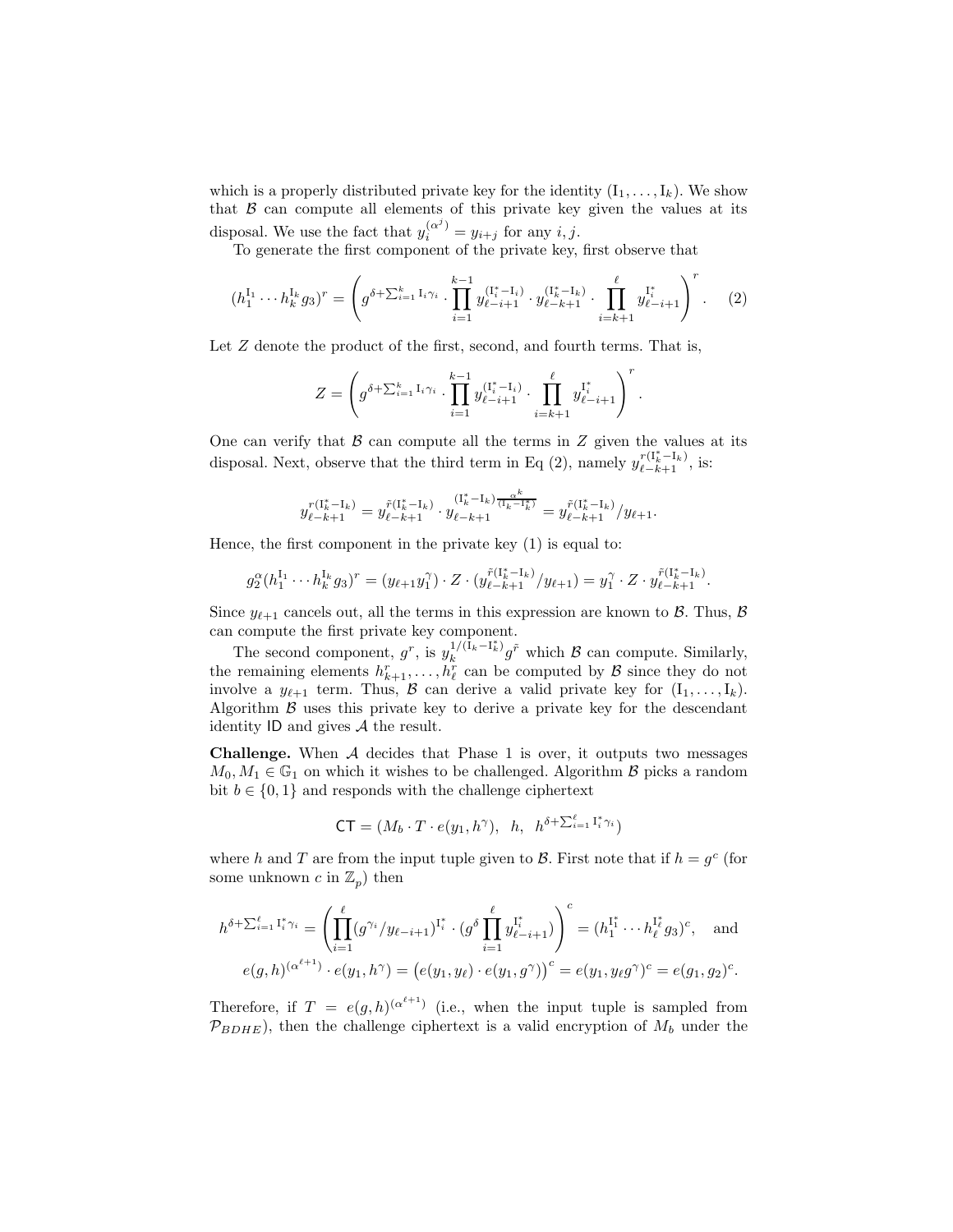which is a properly distributed private key for the identity  $(I_1, \ldots, I_k)$ . We show that  $\beta$  can compute all elements of this private key given the values at its disposal. We use the fact that  $y_i^{(\alpha^j)} = y_{i+j}$  for any  $i, j$ .

To generate the first component of the private key, first observe that

$$
(h_1^{I_1} \cdots h_k^{I_k} g_3)^r = \left( g^{\delta + \sum_{i=1}^k I_i \gamma_i} \cdot \prod_{i=1}^{k-1} y_{\ell-i+1}^{(I_i^* - I_i)} \cdot y_{\ell-k+1}^{(I_k^* - I_k)} \cdot \prod_{i=k+1}^{\ell} y_{\ell-i+1}^{I_i^*} \right)^r. \tag{2}
$$

Let  $Z$  denote the product of the first, second, and fourth terms. That is,

$$
Z=\left(g^{\delta+\sum_{i=1}^k\mathrm{I}_i\gamma_i}\cdot\prod_{i=1}^{k-1}y_{\ell-i+1}^{(\mathrm{I}^*_i-\mathrm{I}_i)}\cdot\prod_{i=k+1}^{\ell}y_{\ell-i+1}^{\mathrm{I}^*_i}\right)^r.
$$

One can verify that  $\beta$  can compute all the terms in  $Z$  given the values at its disposal. Next, observe that the third term in Eq (2), namely  $y_{\ell-k+1}^{r(I_k^* - I_k)}$ , is:

$$
y_{\ell-k+1}^{r(\mathbf{I}_{k-1}^* - \mathbf{I}_k)} = y_{\ell-k+1}^{\tilde{r}(\mathbf{I}_{k-1}^* - \mathbf{I}_k)} \cdot y_{\ell-k+1}^{(\mathbf{I}_{k-1}^* - \mathbf{I}_k)} = y_{\ell-k+1}^{\tilde{r}(\mathbf{I}_{k-1}^* - \mathbf{I}_k)} / y_{\ell+1}.
$$

Hence, the first component in the private key (1) is equal to:

$$
g_2^{\alpha}(h_1^{I_1}\cdots h_k^{I_k}g_3)^r = (y_{\ell+1}y_1^{\gamma})\cdot Z\cdot(y_{\ell-k+1}^{\tilde{r}(I_k^* - I_k)}/y_{\ell+1}) = y_1^{\gamma}\cdot Z\cdot y_{\ell-k+1}^{\tilde{r}(I_k^* - I_k)}.
$$

Since  $y_{\ell+1}$  cancels out, all the terms in this expression are known to  $\beta$ . Thus,  $\beta$ can compute the first private key component.

The second component,  $g^r$ , is  $y_k^{1/(I_k-I_k^*)}$  $\int_{k}^{1/(1_{k}-1_{k})} g^{\tilde{r}}$  which  $\beta$  can compute. Similarly, the remaining elements  $h_{k+1}^r, \ldots, h_{\ell}^r$  can be computed by  $\mathcal B$  since they do not involve a  $y_{\ell+1}$  term. Thus,  $\beta$  can derive a valid private key for  $(I_1, \ldots, I_k)$ . Algorithm  $\beta$  uses this private key to derive a private key for the descendant identity ID and gives  $A$  the result.

**Challenge.** When  $A$  decides that Phase 1 is over, it outputs two messages  $M_0, M_1 \in \mathbb{G}_1$  on which it wishes to be challenged. Algorithm  $\beta$  picks a random bit  $b \in \{0, 1\}$  and responds with the challenge ciphertext

$$
\mathsf{CT} = (M_b \cdot T \cdot e(y_1, h^{\gamma}), \ h, \ h^{\delta + \sum_{i=1}^{\ell} \mathrm{I}_i^* \gamma_i})
$$

where h and T are from the input tuple given to  $\mathcal{B}$ . First note that if  $h = g^c$  (for some unknown  $c$  in  $\mathbb{Z}_p$ ) then

$$
h^{\delta + \sum_{i=1}^{\ell} \mathbf{I}_{i}^{*} \gamma_{i}} = \left( \prod_{i=1}^{\ell} (g^{\gamma_{i}}/y_{\ell-i+1})^{\mathbf{I}_{i}^{*}} \cdot (g^{\delta} \prod_{i=1}^{\ell} y_{\ell-i+1}^{\mathbf{I}_{i}^{*}}) \right)^{c} = (h_{1}^{\mathbf{I}_{1}^{*}} \cdots h_{\ell}^{\mathbf{I}_{\ell}^{*}} g_{3})^{c}, \text{ and}
$$
  

$$
e(g, h)^{(\alpha^{\ell+1})} \cdot e(y_{1}, h^{\gamma}) = (e(y_{1}, y_{\ell}) \cdot e(y_{1}, g^{\gamma}))^{c} = e(y_{1}, y_{\ell}g^{\gamma})^{c} = e(g_{1}, g_{2})^{c}.
$$

Therefore, if  $T = e(g, h)^{(\alpha^{\ell+1})}$  (i.e., when the input tuple is sampled from  $P_{BDHE}$ ), then the challenge ciphertext is a valid encryption of  $M_b$  under the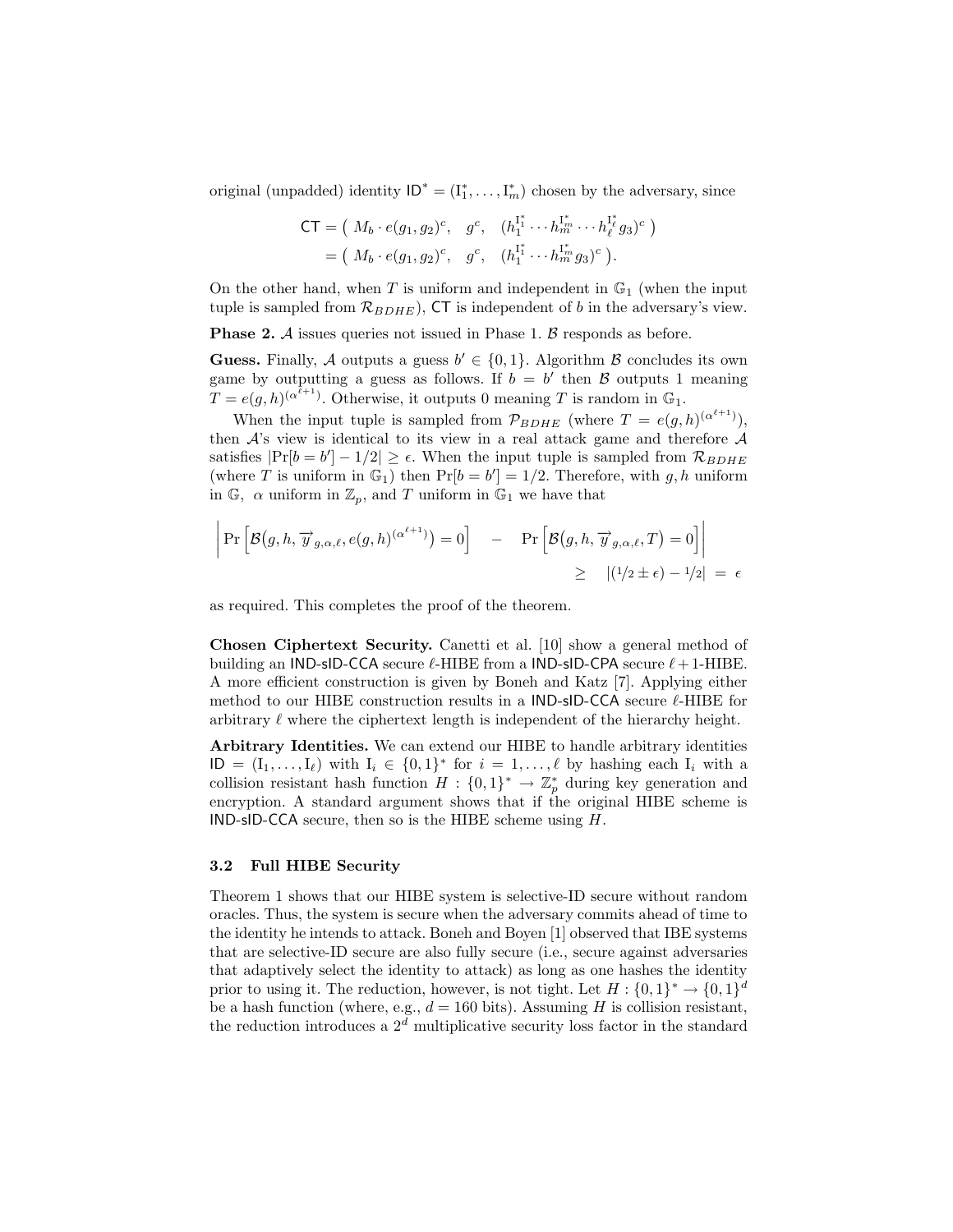original (unpadded) identity  $ID^* = (I_1^*, \ldots, I_m^*)$  chosen by the adversary, since

$$
\begin{split} \mathsf{CT} &= \left( \ M_b \cdot e(g_1, g_2)^c, \quad g^c, \quad (h_1^{\mathsf{I}^*_1} \cdots h_m^{\mathsf{I}^*_m} \cdots h_\ell^{\mathsf{I}^*_\ell} g_3)^c \ \right) \\ &= \left( \ M_b \cdot e(g_1, g_2)^c, \quad g^c, \quad (h_1^{\mathsf{I}^*_1} \cdots h_m^{\mathsf{I}^*_m} g_3)^c \ \right). \end{split}
$$

On the other hand, when  $T$  is uniform and independent in  $\mathbb{G}_1$  (when the input tuple is sampled from  $\mathcal{R}_{BDHE}$ ), CT is independent of b in the adversary's view.

Phase 2. A issues queries not issued in Phase 1. B responds as before.

**Guess.** Finally, A outputs a guess  $b' \in \{0, 1\}$ . Algorithm B concludes its own game by outputting a guess as follows. If  $b = b'$  then  $\beta$  outputs 1 meaning  $T = e(g, h)^{(\alpha^{\ell+1})}$ . Otherwise, it outputs 0 meaning T is random in  $\mathbb{G}_1$ .

When the input tuple is sampled from  $\mathcal{P}_{BDHE}$  (where  $T = e(g, h)^{(\alpha^{\ell+1})}$ ), then  $A$ 's view is identical to its view in a real attack game and therefore  $A$ satisfies  $|\Pr[b = b'] - 1/2| \ge \epsilon$ . When the input tuple is sampled from  $\mathcal{R}_{BDHE}$ (where T is uniform in  $\mathbb{G}_1$ ) then  $\Pr[b = b'] = 1/2$ . Therefore, with g, h uniform in  $\mathbb{G}$ ,  $\alpha$  uniform in  $\mathbb{Z}_p$ , and T uniform in  $\mathbb{G}_1$  we have that

$$
\left| \Pr \left[ \mathcal{B}(g, h, \overrightarrow{y}_{g,\alpha,\ell}, e(g, h)^{(\alpha^{\ell+1})}) = 0 \right] \right| - \Pr \left[ \mathcal{B}(g, h, \overrightarrow{y}_{g,\alpha,\ell}, T) = 0 \right] \right|
$$
  

$$
\geq |(1/2 \pm \epsilon) - 1/2| = \epsilon
$$

as required. This completes the proof of the theorem.

Chosen Ciphertext Security. Canetti et al. [10] show a general method of building an IND-sID-CCA secure  $\ell$ -HIBE from a IND-sID-CPA secure  $\ell + 1$ -HIBE. A more efficient construction is given by Boneh and Katz [7]. Applying either method to our HIBE construction results in a IND-sID-CCA secure  $\ell$ -HIBE for arbitrary  $\ell$  where the ciphertext length is independent of the hierarchy height.

Arbitrary Identities. We can extend our HIBE to handle arbitrary identities  $ID = (I_1, \ldots, I_\ell)$  with  $I_i \in \{0, 1\}^*$  for  $i = 1, \ldots, \ell$  by hashing each  $I_i$  with a collision resistant hash function  $H: \{0,1\}^* \to \mathbb{Z}_p^*$  during key generation and encryption. A standard argument shows that if the original HIBE scheme is  $IND-SID-CCA$  secure, then so is the HIBE scheme using  $H$ .

#### 3.2 Full HIBE Security

Theorem 1 shows that our HIBE system is selective-ID secure without random oracles. Thus, the system is secure when the adversary commits ahead of time to the identity he intends to attack. Boneh and Boyen [1] observed that IBE systems that are selective-ID secure are also fully secure (i.e., secure against adversaries that adaptively select the identity to attack) as long as one hashes the identity prior to using it. The reduction, however, is not tight. Let  $H: \{0,1\}^* \to \{0,1\}^d$ be a hash function (where, e.g.,  $d = 160$  bits). Assuming H is collision resistant, the reduction introduces a  $2^d$  multiplicative security loss factor in the standard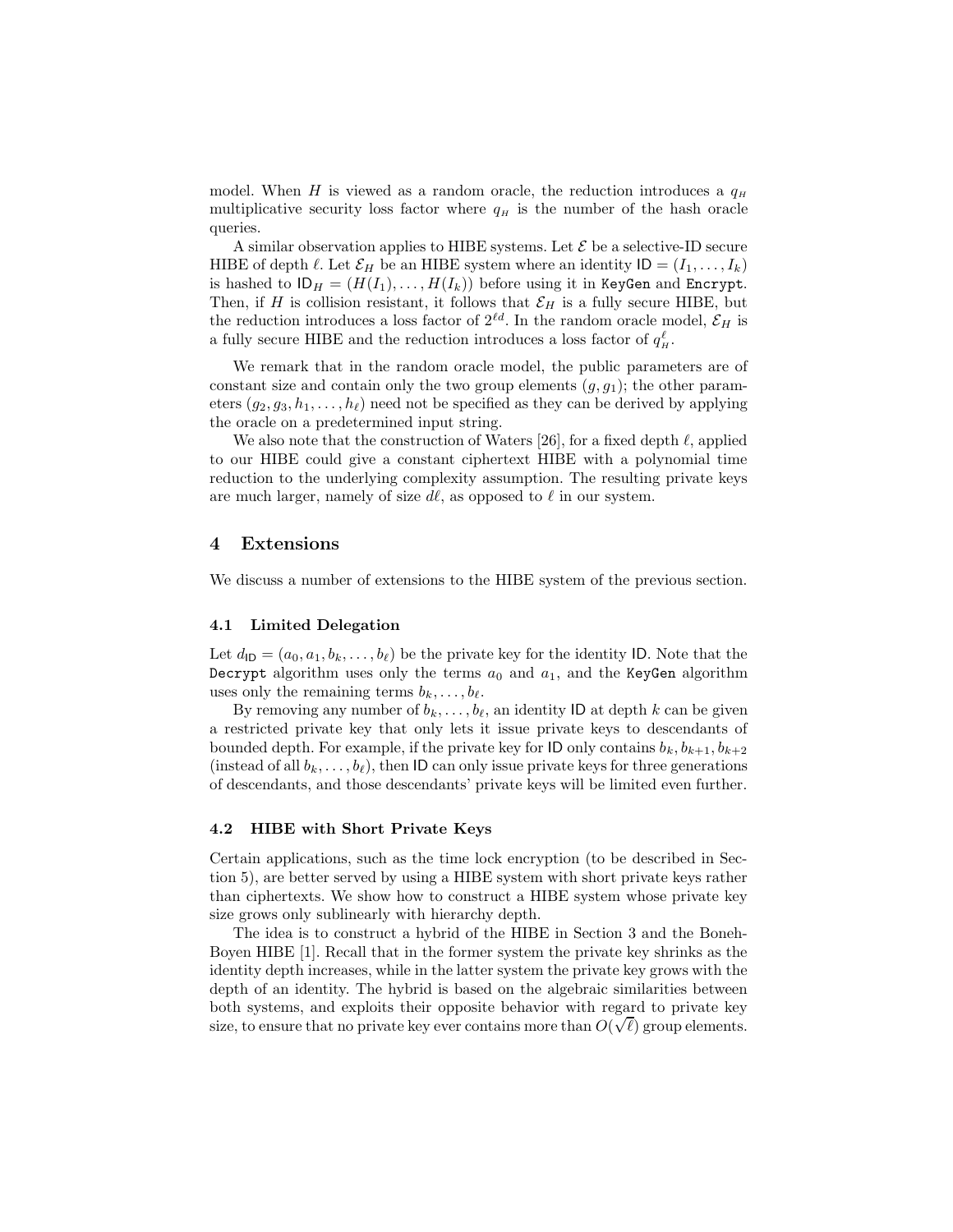model. When H is viewed as a random oracle, the reduction introduces a  $q_H$ multiplicative security loss factor where  $q_H$  is the number of the hash oracle queries.

A similar observation applies to HIBE systems. Let  $\mathcal E$  be a selective-ID secure HIBE of depth  $\ell$ . Let  $\mathcal{E}_H$  be an HIBE system where an identity  $ID = (I_1, \ldots, I_k)$ is hashed to  $ID_H = (H(I_1), \ldots, H(I_k))$  before using it in KeyGen and Encrypt. Then, if H is collision resistant, it follows that  $\mathcal{E}_H$  is a fully secure HIBE, but the reduction introduces a loss factor of  $2^{\ell d}$ . In the random oracle model,  $\mathcal{E}_H$  is a fully secure HIBE and the reduction introduces a loss factor of  $q^{\ell}_{\scriptscriptstyle H}.$ 

We remark that in the random oracle model, the public parameters are of constant size and contain only the two group elements  $(g, g_1)$ ; the other parameters  $(q_2, q_3, h_1, \ldots, h_\ell)$  need not be specified as they can be derived by applying the oracle on a predetermined input string.

We also note that the construction of Waters [26], for a fixed depth  $\ell$ , applied to our HIBE could give a constant ciphertext HIBE with a polynomial time reduction to the underlying complexity assumption. The resulting private keys are much larger, namely of size  $d\ell$ , as opposed to  $\ell$  in our system.

# 4 Extensions

We discuss a number of extensions to the HIBE system of the previous section.

#### 4.1 Limited Delegation

Let  $d_{\mathsf{ID}} = (a_0, a_1, b_k, \ldots, b_\ell)$  be the private key for the identity ID. Note that the Decrypt algorithm uses only the terms  $a_0$  and  $a_1$ , and the KeyGen algorithm uses only the remaining terms  $b_k, \ldots, b_\ell$ .

By removing any number of  $b_k, \ldots, b_\ell$ , an identity ID at depth k can be given a restricted private key that only lets it issue private keys to descendants of bounded depth. For example, if the private key for ID only contains  $b_k$ ,  $b_{k+1}$ ,  $b_{k+2}$ (instead of all  $b_k, \ldots, b_\ell$ ), then ID can only issue private keys for three generations of descendants, and those descendants' private keys will be limited even further.

#### 4.2 HIBE with Short Private Keys

Certain applications, such as the time lock encryption (to be described in Section 5), are better served by using a HIBE system with short private keys rather than ciphertexts. We show how to construct a HIBE system whose private key size grows only sublinearly with hierarchy depth.

The idea is to construct a hybrid of the HIBE in Section 3 and the Boneh-Boyen HIBE [1]. Recall that in the former system the private key shrinks as the identity depth increases, while in the latter system the private key grows with the depth of an identity. The hybrid is based on the algebraic similarities between both systems, and exploits their opposite behavior with regard to private key size, to ensure that no private key ever contains more than  $O(\sqrt{\ell})$  group elements.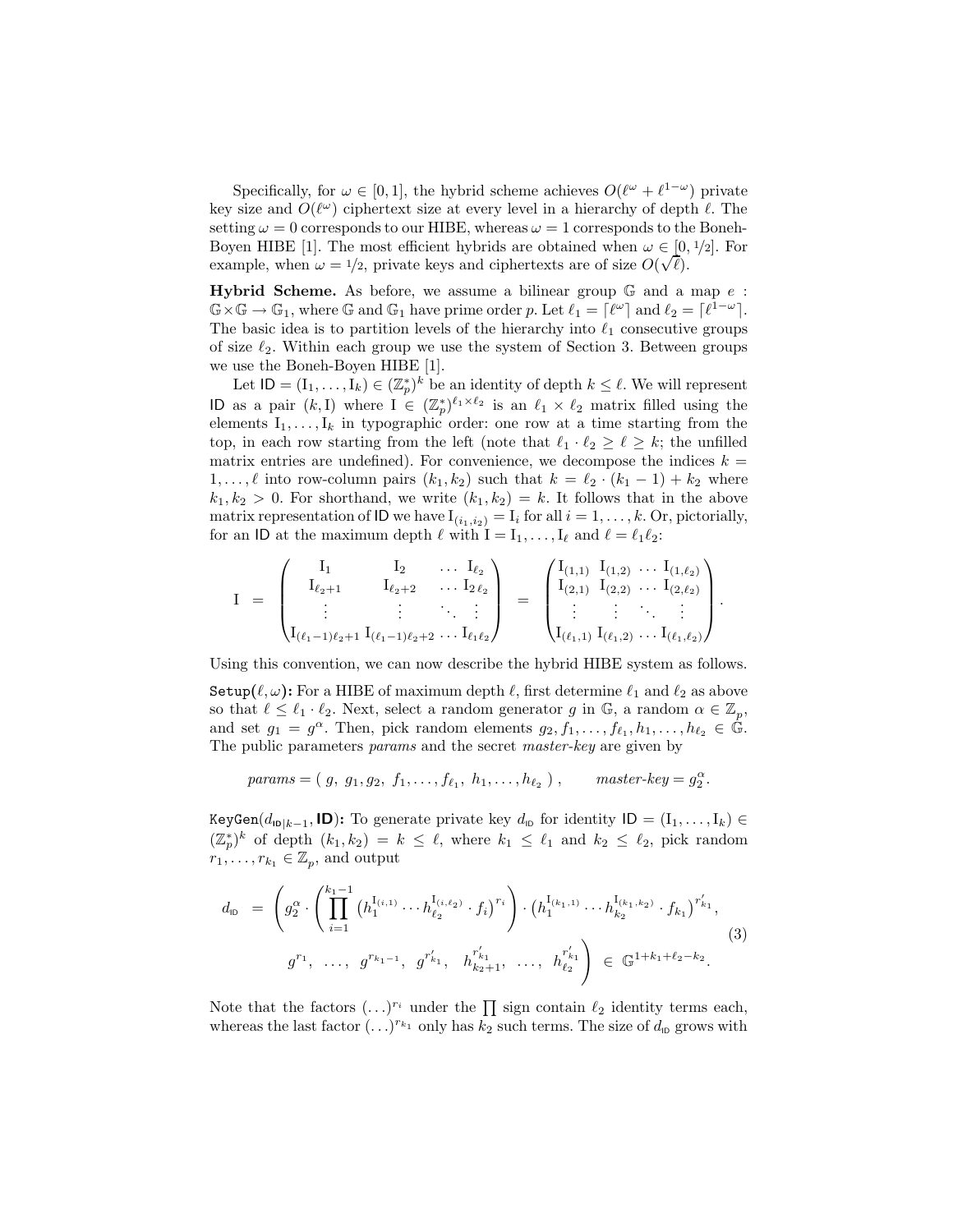Specifically, for  $\omega \in [0, 1]$ , the hybrid scheme achieves  $O(\ell^{\omega} + \ell^{1-\omega})$  private key size and  $O(\ell^{\omega})$  ciphertext size at every level in a hierarchy of depth  $\ell$ . The setting  $\omega = 0$  corresponds to our HIBE, whereas  $\omega = 1$  corresponds to the Boneh-Boyen HIBE [1]. The most efficient hybrids are obtained when  $\omega \in [0, 1/2]$ . For example, when  $\omega = 1/2$ , private keys and ciphertexts are of size  $O(\sqrt{\ell})$ .

**Hybrid Scheme.** As before, we assume a bilinear group  $\mathbb{G}$  and a map  $e$ :  $\mathbb{G} \times \mathbb{G} \to \mathbb{G}_1$ , where  $\mathbb{G}$  and  $\mathbb{G}_1$  have prime order p. Let  $\ell_1 = \lceil \ell^{\omega} \rceil$  and  $\ell_2 = \lceil \ell^{1-\omega} \rceil$ . The basic idea is to partition levels of the hierarchy into  $\ell_1$  consecutive groups of size  $\ell_2$ . Within each group we use the system of Section 3. Between groups we use the Boneh-Boyen HIBE [1].

Let  $\mathsf{ID} = (I_1, \ldots, I_k) \in (\mathbb{Z}_p^*)^k$  be an identity of depth  $k \leq \ell$ . We will represent ID as a pair  $(k, I)$  where  $I \in (\mathbb{Z}_p^*)^{\ell_1 \times \ell_2}$  is an  $\ell_1 \times \ell_2$  matrix filled using the elements  $I_1, \ldots, I_k$  in typographic order: one row at a time starting from the top, in each row starting from the left (note that  $\ell_1 \cdot \ell_2 \geq \ell \geq k$ ; the unfilled matrix entries are undefined). For convenience, we decompose the indices  $k =$ 1, ...,  $\ell$  into row-column pairs  $(k_1, k_2)$  such that  $k = \ell_2 \cdot (k_1 - 1) + k_2$  where  $k_1, k_2 > 0$ . For shorthand, we write  $(k_1, k_2) = k$ . It follows that in the above matrix representation of ID we have  $I_{(i_1,i_2)} = I_i$  for all  $i = 1, ..., k$ . Or, pictorially, for an ID at the maximum depth  $\ell$  with  $I = I_1, \ldots, I_\ell$  and  $\ell = \ell_1 \ell_2$ :

$$
\mathrm{I} \;\; = \;\; \begin{pmatrix} \mathrm{I}_1 & \mathrm{I}_2 & \ldots & \mathrm{I}_{\ell_2} \\ \mathrm{I}_{\ell_2+1} & \mathrm{I}_{\ell_2+2} & \ldots & \mathrm{I}_2_{\ell_2} \\ \vdots & \vdots & \ddots & \vdots \\ \mathrm{I}_{(\ell_1-1)\ell_2+1} & \mathrm{I}_{(\ell_1-1)\ell_2+2} & \ldots & \mathrm{I}_{\ell_1\ell_2} \end{pmatrix} \;\; = \;\; \begin{pmatrix} \mathrm{I}_{(1,1)} & \mathrm{I}_{(1,2)} & \ldots & \mathrm{I}_{(1,\ell_2)} \\ \mathrm{I}_{(2,1)} & \mathrm{I}_{(2,2)} & \ldots & \mathrm{I}_{(2,\ell_2)} \\ \vdots & \vdots & \ddots & \vdots \\ \mathrm{I}_{(\ell_1,1)} & \mathrm{I}_{(\ell_1,2)} & \ldots & \mathrm{I}_{(\ell_1,\ell_2)} \end{pmatrix} \, .
$$

Using this convention, we can now describe the hybrid HIBE system as follows. Setup $(\ell, \omega)$ : For a HIBE of maximum depth  $\ell$ , first determine  $\ell_1$  and  $\ell_2$  as above so that  $\ell \leq \ell_1 \cdot \ell_2$ . Next, select a random generator g in G, a random  $\alpha \in \mathbb{Z}_p$ , and set  $g_1 = g^{\alpha}$ . Then, pick random elements  $g_2, f_1, \ldots, f_{\ell_1}, h_1, \ldots, h_{\ell_2} \in \tilde{\mathbb{G}}$ . The public parameters params and the secret master-key are given by

 $params = (g, g_1, g_2, f_1, \ldots, f_{\ell_1}, h_1, \ldots, h_{\ell_2})$ ), master-key =  $g_2^{\alpha}$ .

KeyGen( $d_{\text{ID}|k-1}$ , ID): To generate private key  $d_{\text{ID}}$  for identity ID =  $(I_1, \ldots, I_k)$  $(\mathbb{Z}_p^*)^k$  of depth  $(k_1, k_2) = k \leq \ell$ , where  $k_1 \leq \ell_1$  and  $k_2 \leq \ell_2$ , pick random  $r_1, \ldots, r_{k_1} \in \mathbb{Z}_p$ , and output

$$
d_{\mathsf{ID}} = \left( g_2^{\alpha} \cdot \left( \prod_{i=1}^{k_1-1} \left( h_1^{\mathbf{I}_{(i,1)}} \cdots h_{\ell_2}^{\mathbf{I}_{(i,\ell_2)}} \cdot f_i \right)^{r_i} \right) \cdot \left( h_1^{\mathbf{I}_{(k_1,1)}} \cdots h_{k_2}^{\mathbf{I}_{(k_1,k_2)}} \cdot f_{k_1} \right)^{r'_{k_1}},
$$
\n
$$
g^{r_1}, \quad \ldots, \quad g^{r_{k_1-1}}, \quad g^{r'_{k_1}}, \quad h_{k_2+1}^{r'_{k_1}}, \quad \ldots, \quad h_{\ell_2}^{r'_{k_2}} \right) \in \mathbb{G}^{1+k_1+\ell_2-k_2}.
$$
\n
$$
(3)
$$

Note that the factors  $(\ldots)^{r_i}$  under the  $\prod$  sign contain  $\ell_2$  identity terms each, whereas the last factor  $(\ldots)^{r_{k_1}}$  only has  $k_2$  such terms. The size of  $d_{\mathbb{D}}$  grows with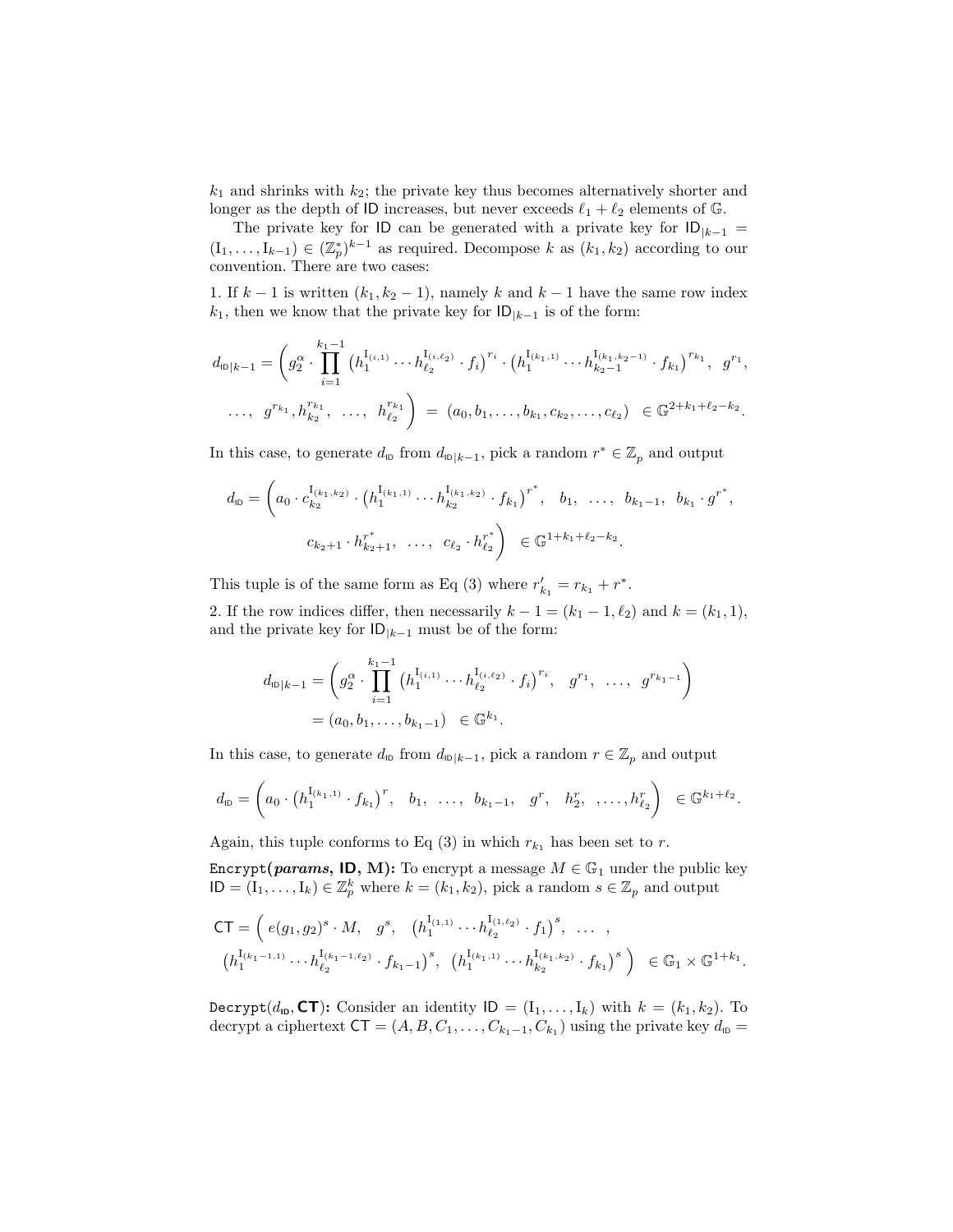$k_1$  and shrinks with  $k_2$ ; the private key thus becomes alternatively shorter and longer as the depth of ID increases, but never exceeds  $\ell_1 + \ell_2$  elements of G.

The private key for ID can be generated with a private key for  $ID_{|k-1}$  =  $(I_1, \ldots, I_{k-1}) \in (\mathbb{Z}_p^*)^{k-1}$  as required. Decompose k as  $(k_1, k_2)$  according to our convention. There are two cases:

1. If  $k-1$  is written  $(k_1, k_2-1)$ , namely k and  $k-1$  have the same row index  $k_1$ , then we know that the private key for  $ID_{k-1}$  is of the form:

$$
d_{\text{ID}|k-1} = \left(g_2^{\alpha} \cdot \prod_{i=1}^{k_1-1} \left(h_1^{I_{(i,1)}} \cdots h_{\ell_2}^{I_{(i,\ell_2)}} \cdot f_i\right)^{r_i} \cdot \left(h_1^{I_{(k_1,1)}} \cdots h_{k_2-1}^{I_{(k_1,k_2-1)}} \cdot f_{k_1}\right)^{r_{k_1}}, \quad g^{r_1},
$$
  

$$
\dots, \quad g^{r_{k_1}}, h_{k_2}^{r_{k_1}}, \quad \dots, \quad h_{\ell_2}^{r_{k_1}}\right) = (a_0, b_1, \dots, b_{k_1}, c_{k_2}, \dots, c_{\ell_2}) \in \mathbb{G}^{2+k_1+\ell_2-k_2}.
$$

In this case, to generate  $d_{\text{ID}}$  from  $d_{\text{ID}|k-1}$ , pick a random  $r^* \in \mathbb{Z}_p$  and output

$$
d_{\text{ID}} = \left(a_0 \cdot c_{k_2}^{\text{I}_{(k_1, k_2)}} \cdot \left(h_1^{\text{I}_{(k_1, 1)}} \cdots h_{k_2}^{\text{I}_{(k_1, k_2)}} \cdot f_{k_1}\right)^{r^*}, \quad b_1, \quad \dots, \quad b_{k_1 - 1}, \quad b_{k_1} \cdot g^{r^*},
$$

$$
c_{k_2 + 1} \cdot h_{k_2 + 1}^*, \quad \dots, \quad c_{\ell_2} \cdot h_{\ell_2}^{r^*}\right) \in \mathbb{G}^{1 + k_1 + \ell_2 - k_2}.
$$

This tuple is of the same form as Eq (3) where  $r'_{k_1} = r_{k_1} + r^*$ .

2. If the row indices differ, then necessarily  $k - 1 = (k_1 - 1, \ell_2)$  and  $k = (k_1, 1)$ , and the private key for  $ID_{k-1}$  must be of the form:

$$
d_{\text{ID}|k-1} = \left(g_2^{\alpha} \cdot \prod_{i=1}^{k_1-1} \left(h_1^{I_{(i,1)}} \cdots h_{\ell_2}^{I_{(i,\ell_2)}} \cdot f_i\right)^{r_i}, \quad g^{r_1}, \quad \dots, \quad g^{r_{k_1-1}}\right)
$$
  
=  $(a_0, b_1, \dots, b_{k_1-1}) \in \mathbb{G}^{k_1}.$ 

In this case, to generate  $d_{\mathsf{ID}}$  from  $d_{\mathsf{ID}|k-1}$ , pick a random  $r \in \mathbb{Z}_p$  and output

$$
d_{\text{ID}} = \left(a_0 \cdot \left(h_1^{I_{\{k_1,1\}}} \cdot f_{k_1}\right)^r, \quad b_1, \quad \ldots, \quad b_{k_1-1}, \quad g^r, \quad h_2^r, \quad \ldots, h_{\ell_2}^r\right) \in \mathbb{G}^{k_1+\ell_2}.
$$

Again, this tuple conforms to Eq (3) in which  $r_{k_1}$  has been set to r.

Encrypt(*params*, ID, M): To encrypt a message  $M \in \mathbb{G}_1$  under the public key  $\mathsf{ID} = (\mathbf{I}_1, \dots, \mathbf{I}_k) \in \mathbb{Z}_p^k$  where  $k = (k_1, k_2)$ , pick a random  $s \in \mathbb{Z}_p$  and output

$$
\mathsf{CT} = \left( e(g_1, g_2)^s \cdot M, \quad g^s, \quad \left( h_1^{\mathbf{I}_{(1,1)}} \cdots h_{\ell_2}^{\mathbf{I}_{(1,\ell_2)}} \cdot f_1 \right)^s, \quad \dots \quad , \right. \n\left. \left( h_1^{\mathbf{I}_{(k_1-1,1)}} \cdots h_{\ell_2}^{\mathbf{I}_{(k_1-1,\ell_2)}} \cdot f_{k_1-1} \right)^s, \quad \left( h_1^{\mathbf{I}_{(k_1,1)}} \cdots h_{k_2}^{\mathbf{I}_{(k_1,k_2)}} \cdot f_{k_1} \right)^s \right) \in \mathbb{G}_1 \times \mathbb{G}^{1+k_1}.
$$

Decrypt( $d_{\text{ID}}$ , CT): Consider an identity  $ID = (I_1, \ldots, I_k)$  with  $k = (k_1, k_2)$ . To decrypt a ciphertext  $CT = (A, B, C_1, \ldots, C_{k_1-1}, C_{k_1})$  using the private key  $d_{\text{ID}} =$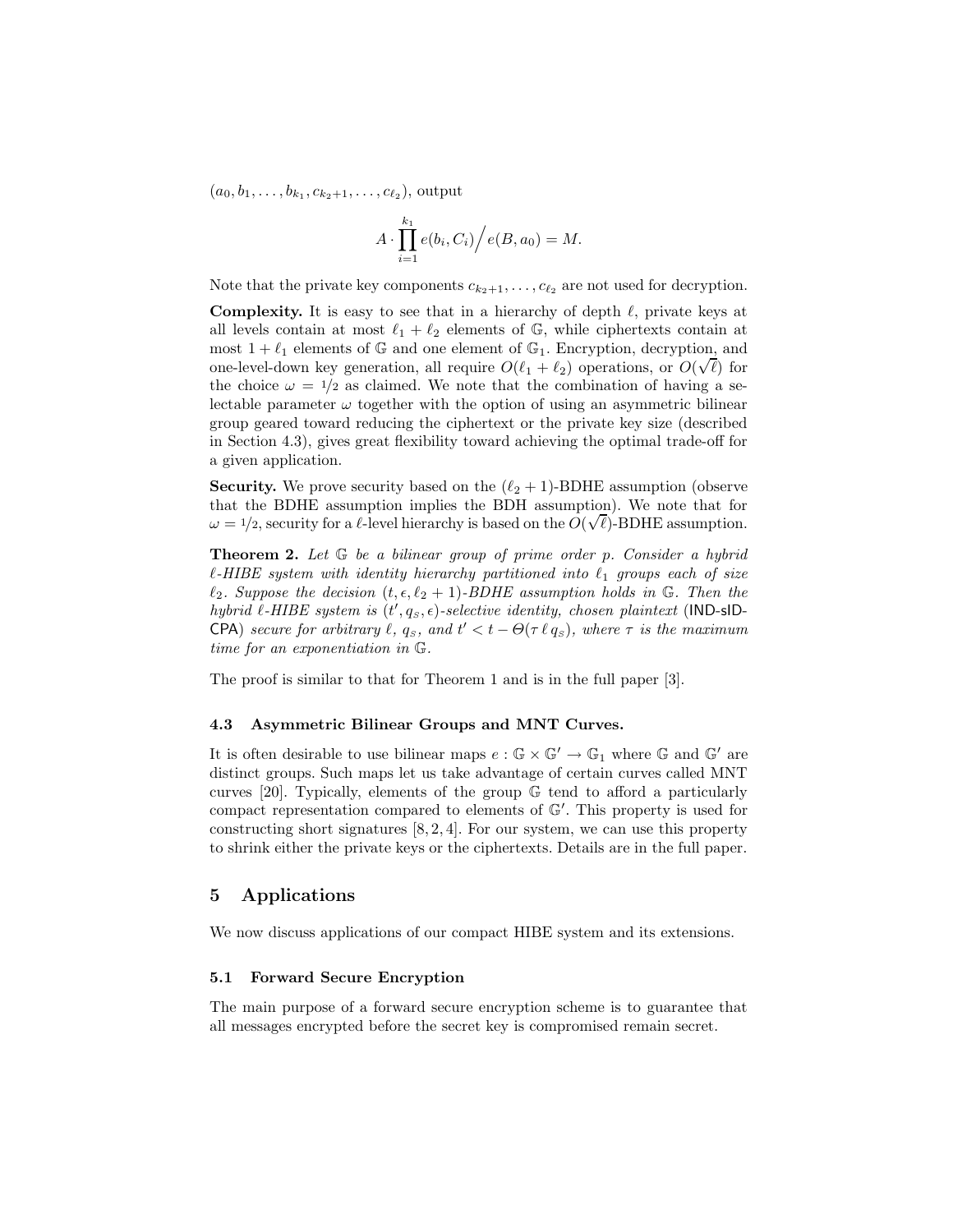$(a_0, b_1, \ldots, b_{k_1}, c_{k_2+1}, \ldots, c_{\ell_2}),$  output

$$
A \cdot \prod_{i=1}^{k_1} e(b_i, C_i) / e(B, a_0) = M.
$$

Note that the private key components  $c_{k_2+1}, \ldots, c_{\ell_2}$  are not used for decryption.

**Complexity.** It is easy to see that in a hierarchy of depth  $\ell$ , private keys at all levels contain at most  $\ell_1 + \ell_2$  elements of G, while ciphertexts contain at most  $1 + \ell_1$  elements of G and one element of G<sub>1</sub>. Encryption, decryption, and one-level-down key generation, all require  $O(\ell_1 + \ell_2)$  operations, or  $O(\sqrt{\ell})$  for the choice  $\omega = 1/2$  as claimed. We note that the combination of having a selectable parameter  $\omega$  together with the option of using an asymmetric bilinear group geared toward reducing the ciphertext or the private key size (described in Section 4.3), gives great flexibility toward achieving the optimal trade-off for a given application.

**Security.** We prove security based on the  $(\ell_2 + 1)$ -BDHE assumption (observe that the BDHE assumption implies the BDH assumption). We note that for  $\omega = 1/2$ , security for a  $\ell$ -level hierarchy is based on the  $O(\sqrt{\ell})$ -BDHE assumption.

Theorem 2. Let  $G$  be a bilinear group of prime order p. Consider a hybrid  $\ell$ -HIBE system with identity hierarchy partitioned into  $\ell_1$  groups each of size  $\ell_2$ . Suppose the decision  $(t, \epsilon, \ell_2 + 1)$ -BDHE assumption holds in G. Then the hybrid  $\ell$ -HIBE system is  $(t', q_s, \epsilon)$ -selective identity, chosen plaintext (IND-sID-CPA) secure for arbitrary  $\ell, q_s$ , and  $t' < t - \Theta(\tau \ell q_s)$ , where  $\tau$  is the maximum time for an exponentiation in G.

The proof is similar to that for Theorem 1 and is in the full paper [3].

### 4.3 Asymmetric Bilinear Groups and MNT Curves.

It is often desirable to use bilinear maps  $e : \mathbb{G} \times \mathbb{G}' \to \mathbb{G}_1$  where  $\mathbb{G}$  and  $\mathbb{G}'$  are distinct groups. Such maps let us take advantage of certain curves called MNT curves [20]. Typically, elements of the group G tend to afford a particularly compact representation compared to elements of  $\mathbb{G}'$ . This property is used for constructing short signatures  $[8, 2, 4]$ . For our system, we can use this property to shrink either the private keys or the ciphertexts. Details are in the full paper.

## 5 Applications

We now discuss applications of our compact HIBE system and its extensions.

#### 5.1 Forward Secure Encryption

The main purpose of a forward secure encryption scheme is to guarantee that all messages encrypted before the secret key is compromised remain secret.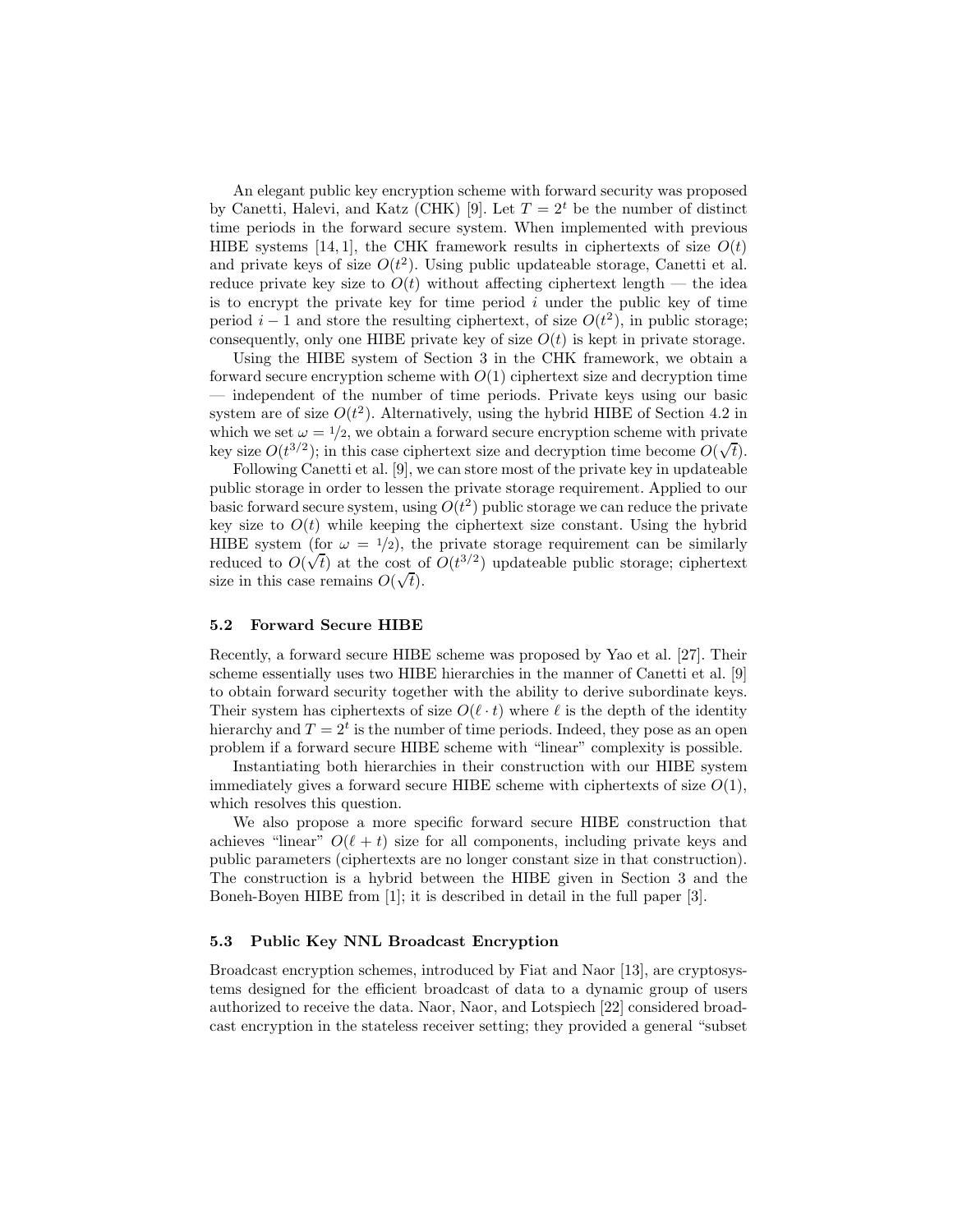An elegant public key encryption scheme with forward security was proposed by Canetti, Halevi, and Katz (CHK) [9]. Let  $T = 2<sup>t</sup>$  be the number of distinct time periods in the forward secure system. When implemented with previous HIBE systems [14, 1], the CHK framework results in ciphertexts of size  $O(t)$ and private keys of size  $O(t^2)$ . Using public updateable storage, Canetti et al. reduce private key size to  $O(t)$  without affecting ciphertext length — the idea is to encrypt the private key for time period  $i$  under the public key of time period  $i-1$  and store the resulting ciphertext, of size  $O(t^2)$ , in public storage; consequently, only one HIBE private key of size  $O(t)$  is kept in private storage.

Using the HIBE system of Section 3 in the CHK framework, we obtain a forward secure encryption scheme with  $O(1)$  ciphertext size and decryption time — independent of the number of time periods. Private keys using our basic system are of size  $O(t^2)$ . Alternatively, using the hybrid HIBE of Section 4.2 in which we set  $\omega = 1/2$ , we obtain a forward secure encryption scheme with private  $k$ ey size  $O(t^{3/2})$ ; in this case ciphertext size and decryption time become  $O(\sqrt{t})$ .

Following Canetti et al. [9], we can store most of the private key in updateable public storage in order to lessen the private storage requirement. Applied to our basic forward secure system, using  $O(t^2)$  public storage we can reduce the private key size to  $O(t)$  while keeping the ciphertext size constant. Using the hybrid HIBE system (for  $\omega = 1/2$ ), the private storage requirement can be similarly reduced to  $O(\sqrt{t})$  at the cost of  $O(t^{3/2})$  updateable public storage; ciphertext size in this case remains  $O(\sqrt{t})$ .

#### 5.2 Forward Secure HIBE

Recently, a forward secure HIBE scheme was proposed by Yao et al. [27]. Their scheme essentially uses two HIBE hierarchies in the manner of Canetti et al. [9] to obtain forward security together with the ability to derive subordinate keys. Their system has ciphertexts of size  $O(\ell \cdot t)$  where  $\ell$  is the depth of the identity hierarchy and  $T = 2^t$  is the number of time periods. Indeed, they pose as an open problem if a forward secure HIBE scheme with "linear" complexity is possible.

Instantiating both hierarchies in their construction with our HIBE system immediately gives a forward secure HIBE scheme with ciphertexts of size  $O(1)$ , which resolves this question.

We also propose a more specific forward secure HIBE construction that achieves "linear"  $O(\ell + t)$  size for all components, including private keys and public parameters (ciphertexts are no longer constant size in that construction). The construction is a hybrid between the HIBE given in Section 3 and the Boneh-Boyen HIBE from [1]; it is described in detail in the full paper [3].

# 5.3 Public Key NNL Broadcast Encryption

Broadcast encryption schemes, introduced by Fiat and Naor [13], are cryptosystems designed for the efficient broadcast of data to a dynamic group of users authorized to receive the data. Naor, Naor, and Lotspiech [22] considered broadcast encryption in the stateless receiver setting; they provided a general "subset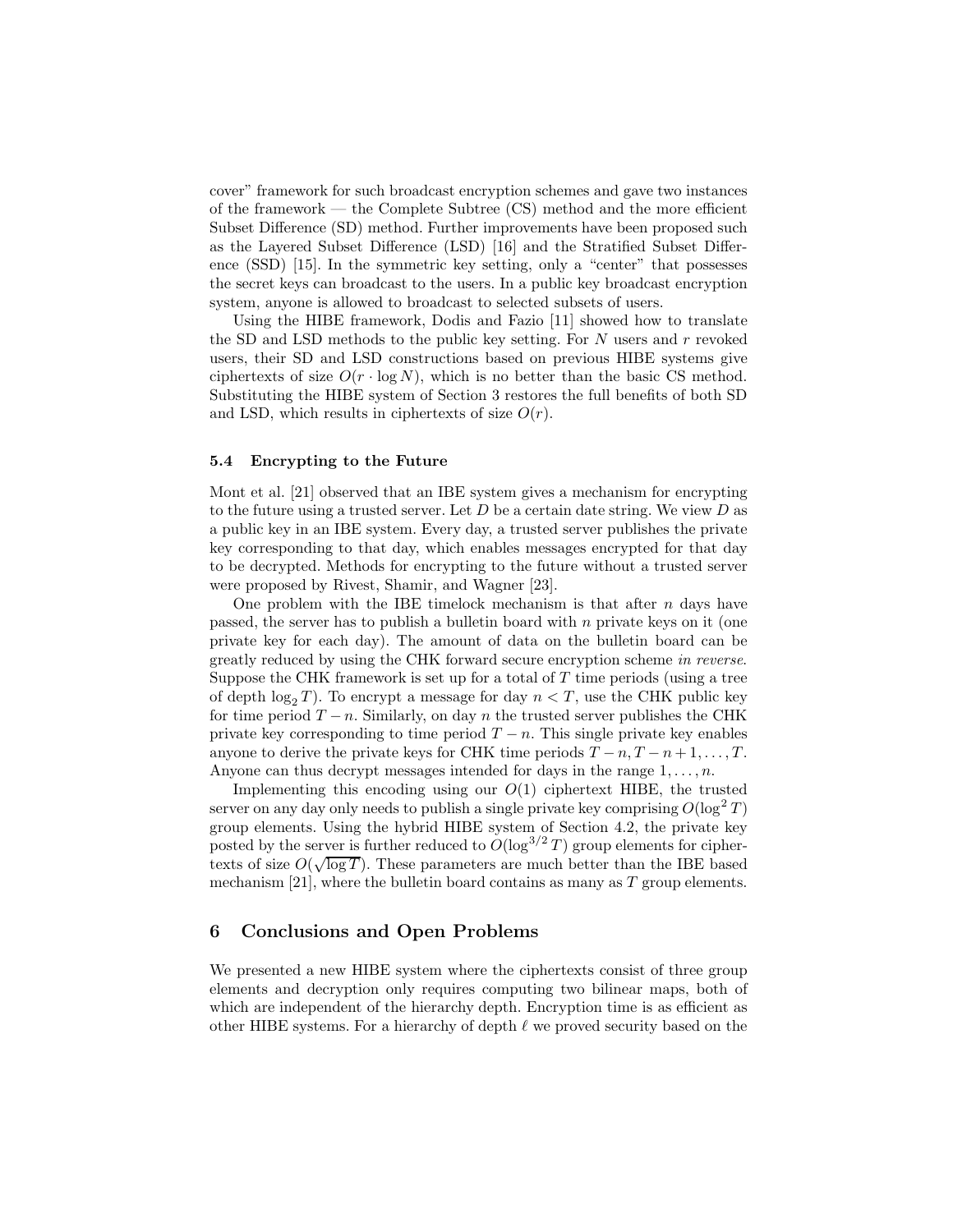cover" framework for such broadcast encryption schemes and gave two instances of the framework — the Complete Subtree (CS) method and the more efficient Subset Difference (SD) method. Further improvements have been proposed such as the Layered Subset Difference (LSD) [16] and the Stratified Subset Difference (SSD) [15]. In the symmetric key setting, only a "center" that possesses the secret keys can broadcast to the users. In a public key broadcast encryption system, anyone is allowed to broadcast to selected subsets of users.

Using the HIBE framework, Dodis and Fazio [11] showed how to translate the SD and LSD methods to the public key setting. For  $N$  users and  $r$  revoked users, their SD and LSD constructions based on previous HIBE systems give ciphertexts of size  $O(r \cdot \log N)$ , which is no better than the basic CS method. Substituting the HIBE system of Section 3 restores the full benefits of both SD and LSD, which results in ciphertexts of size  $O(r)$ .

#### 5.4 Encrypting to the Future

Mont et al. [21] observed that an IBE system gives a mechanism for encrypting to the future using a trusted server. Let  $D$  be a certain date string. We view  $D$  as a public key in an IBE system. Every day, a trusted server publishes the private key corresponding to that day, which enables messages encrypted for that day to be decrypted. Methods for encrypting to the future without a trusted server were proposed by Rivest, Shamir, and Wagner [23].

One problem with the IBE timelock mechanism is that after  $n$  days have passed, the server has to publish a bulletin board with  $n$  private keys on it (one private key for each day). The amount of data on the bulletin board can be greatly reduced by using the CHK forward secure encryption scheme in reverse. Suppose the CHK framework is set up for a total of  $T$  time periods (using a tree of depth  $\log_2 T$ ). To encrypt a message for day  $n < T$ , use the CHK public key for time period  $T - n$ . Similarly, on day n the trusted server publishes the CHK private key corresponding to time period  $T - n$ . This single private key enables anyone to derive the private keys for CHK time periods  $T - n, T - n + 1, \ldots, T$ . Anyone can thus decrypt messages intended for days in the range  $1, \ldots, n$ .

Implementing this encoding using our  $O(1)$  ciphertext HIBE, the trusted server on any day only needs to publish a single private key comprising  $O(\log^2 T)$ group elements. Using the hybrid HIBE system of Section 4.2, the private key posted by the server is further reduced to  $O(\log^{3/2} T)$  group elements for ciphertexts of size  $O(\sqrt{\log T})$ . These parameters are much better than the IBE based mechanism [21], where the bulletin board contains as many as  $T$  group elements.

# 6 Conclusions and Open Problems

We presented a new HIBE system where the ciphertexts consist of three group elements and decryption only requires computing two bilinear maps, both of which are independent of the hierarchy depth. Encryption time is as efficient as other HIBE systems. For a hierarchy of depth  $\ell$  we proved security based on the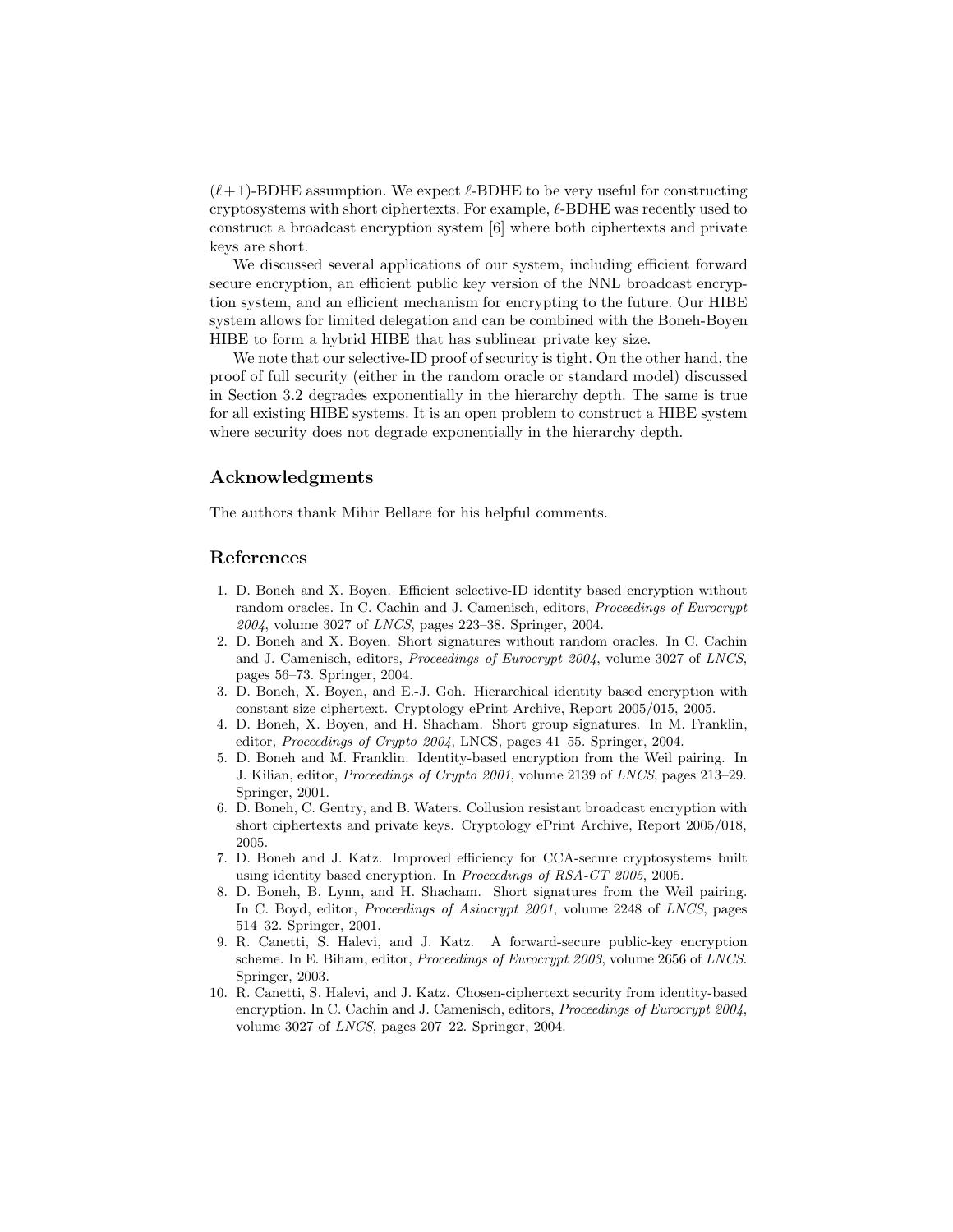$(\ell+1)$ -BDHE assumption. We expect  $\ell$ -BDHE to be very useful for constructing cryptosystems with short ciphertexts. For example,  $\ell$ -BDHE was recently used to construct a broadcast encryption system [6] where both ciphertexts and private keys are short.

We discussed several applications of our system, including efficient forward secure encryption, an efficient public key version of the NNL broadcast encryption system, and an efficient mechanism for encrypting to the future. Our HIBE system allows for limited delegation and can be combined with the Boneh-Boyen HIBE to form a hybrid HIBE that has sublinear private key size.

We note that our selective-ID proof of security is tight. On the other hand, the proof of full security (either in the random oracle or standard model) discussed in Section 3.2 degrades exponentially in the hierarchy depth. The same is true for all existing HIBE systems. It is an open problem to construct a HIBE system where security does not degrade exponentially in the hierarchy depth.

# Acknowledgments

The authors thank Mihir Bellare for his helpful comments.

# References

- 1. D. Boneh and X. Boyen. Efficient selective-ID identity based encryption without random oracles. In C. Cachin and J. Camenisch, editors, Proceedings of Eurocrypt 2004, volume 3027 of LNCS, pages 223–38. Springer, 2004.
- 2. D. Boneh and X. Boyen. Short signatures without random oracles. In C. Cachin and J. Camenisch, editors, Proceedings of Eurocrypt 2004, volume 3027 of LNCS, pages 56–73. Springer, 2004.
- 3. D. Boneh, X. Boyen, and E.-J. Goh. Hierarchical identity based encryption with constant size ciphertext. Cryptology ePrint Archive, Report 2005/015, 2005.
- 4. D. Boneh, X. Boyen, and H. Shacham. Short group signatures. In M. Franklin, editor, Proceedings of Crypto 2004, LNCS, pages 41–55. Springer, 2004.
- 5. D. Boneh and M. Franklin. Identity-based encryption from the Weil pairing. In J. Kilian, editor, Proceedings of Crypto 2001, volume 2139 of LNCS, pages 213–29. Springer, 2001.
- 6. D. Boneh, C. Gentry, and B. Waters. Collusion resistant broadcast encryption with short ciphertexts and private keys. Cryptology ePrint Archive, Report 2005/018, 2005.
- 7. D. Boneh and J. Katz. Improved efficiency for CCA-secure cryptosystems built using identity based encryption. In Proceedings of RSA-CT 2005, 2005.
- 8. D. Boneh, B. Lynn, and H. Shacham. Short signatures from the Weil pairing. In C. Boyd, editor, *Proceedings of Asiacrypt 2001*, volume 2248 of *LNCS*, pages 514–32. Springer, 2001.
- 9. R. Canetti, S. Halevi, and J. Katz. A forward-secure public-key encryption scheme. In E. Biham, editor, Proceedings of Eurocrypt 2003, volume 2656 of LNCS. Springer, 2003.
- 10. R. Canetti, S. Halevi, and J. Katz. Chosen-ciphertext security from identity-based encryption. In C. Cachin and J. Camenisch, editors, Proceedings of Eurocrypt 2004, volume 3027 of LNCS, pages 207–22. Springer, 2004.